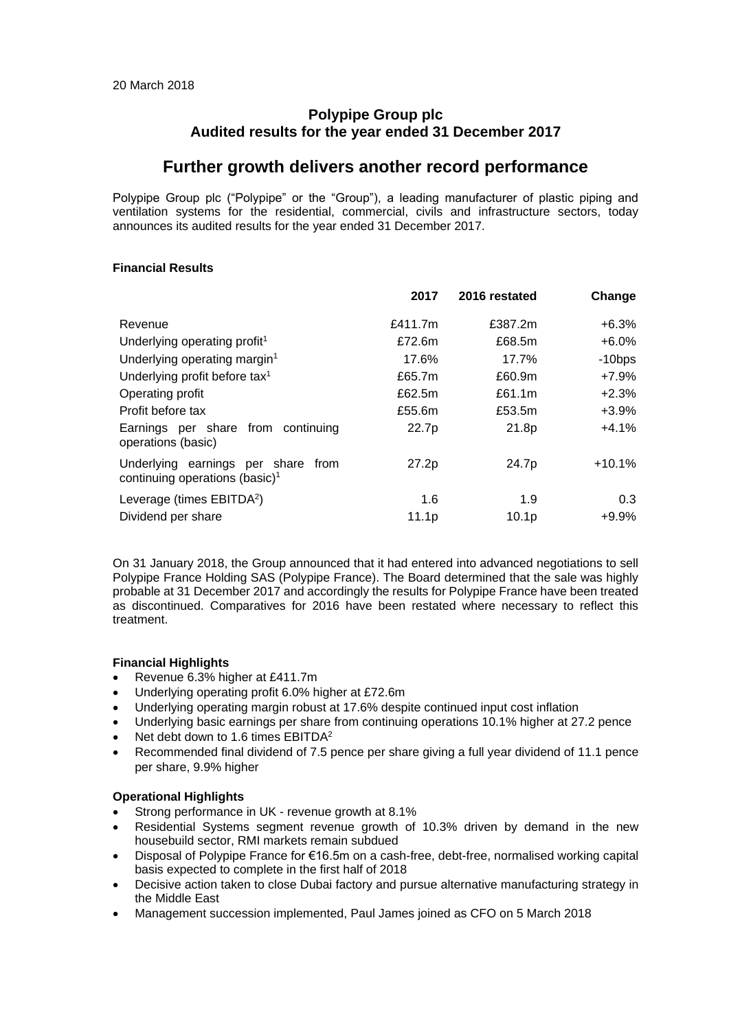### **Polypipe Group plc Audited results for the year ended 31 December 2017**

## **Further growth delivers another record performance**

Polypipe Group plc ("Polypipe" or the "Group"), a leading manufacturer of plastic piping and ventilation systems for the residential, commercial, civils and infrastructure sectors, today announces its audited results for the year ended 31 December 2017.

### **Financial Results**

|                                                                                  | 2017              | 2016 restated     | Change    |
|----------------------------------------------------------------------------------|-------------------|-------------------|-----------|
| Revenue                                                                          | £411.7m           | £387.2m           | $+6.3%$   |
| Underlying operating profit <sup>1</sup>                                         | £72.6m            | £68.5m            | $+6.0%$   |
| Underlying operating margin <sup>1</sup>                                         | 17.6%             | 17.7%             | $-10$ bps |
| Underlying profit before tax <sup>1</sup>                                        | £65.7m            | £60.9m            | +7.9%     |
| Operating profit                                                                 | £62.5m            | £61.1m            | $+2.3%$   |
| Profit before tax                                                                | £55.6m            | £53.5m            | +3.9%     |
| Earnings per share from continuing<br>operations (basic)                         | 22.7p             | 21.8p             | +4.1%     |
| Underlying earnings per share from<br>continuing operations (basic) <sup>1</sup> | 27.2p             | 24.7p             | $+10.1\%$ |
| Leverage (times EBITDA <sup>2</sup> )                                            | 1.6               | 1.9               | 0.3       |
| Dividend per share                                                               | 11.1 <sub>p</sub> | 10.1 <sub>p</sub> | $+9.9%$   |

On 31 January 2018, the Group announced that it had entered into advanced negotiations to sell Polypipe France Holding SAS (Polypipe France). The Board determined that the sale was highly probable at 31 December 2017 and accordingly the results for Polypipe France have been treated as discontinued. Comparatives for 2016 have been restated where necessary to reflect this treatment.

### **Financial Highlights**

- Revenue 6.3% higher at £411.7m
- Underlying operating profit 6.0% higher at £72.6m
- Underlying operating margin robust at 17.6% despite continued input cost inflation
- Underlying basic earnings per share from continuing operations 10.1% higher at 27.2 pence
- Net debt down to 1.6 times EBITDA<sup>2</sup>
- Recommended final dividend of 7.5 pence per share giving a full year dividend of 11.1 pence per share, 9.9% higher

### **Operational Highlights**

- Strong performance in UK revenue growth at 8.1%
- Residential Systems segment revenue growth of 10.3% driven by demand in the new housebuild sector, RMI markets remain subdued
- Disposal of Polypipe France for €16.5m on a cash-free, debt-free, normalised working capital basis expected to complete in the first half of 2018
- Decisive action taken to close Dubai factory and pursue alternative manufacturing strategy in the Middle East
- Management succession implemented, Paul James joined as CFO on 5 March 2018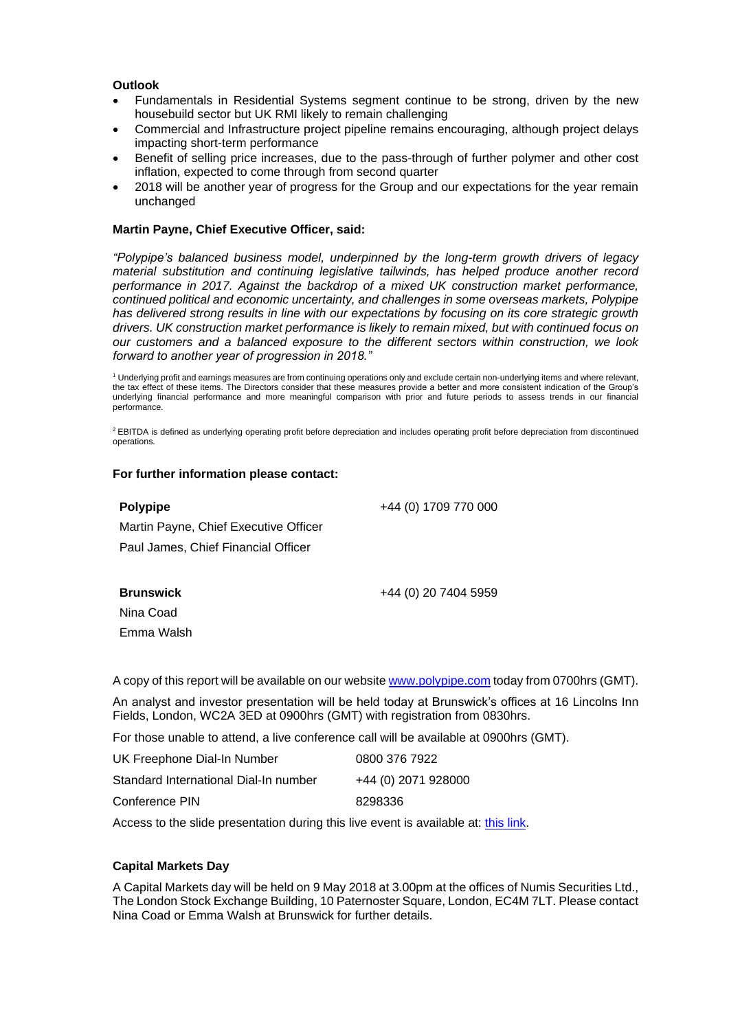### **Outlook**

- Fundamentals in Residential Systems segment continue to be strong, driven by the new housebuild sector but UK RMI likely to remain challenging
- Commercial and Infrastructure project pipeline remains encouraging, although project delays impacting short-term performance
- Benefit of selling price increases, due to the pass-through of further polymer and other cost inflation, expected to come through from second quarter
- 2018 will be another year of progress for the Group and our expectations for the year remain unchanged

### **Martin Payne, Chief Executive Officer, said:**

*"Polypipe's balanced business model, underpinned by the long-term growth drivers of legacy material substitution and continuing legislative tailwinds, has helped produce another record performance in 2017. Against the backdrop of a mixed UK construction market performance, continued political and economic uncertainty, and challenges in some overseas markets, Polypipe has delivered strong results in line with our expectations by focusing on its core strategic growth drivers. UK construction market performance is likely to remain mixed, but with continued focus on our customers and a balanced exposure to the different sectors within construction, we look forward to another year of progression in 2018."*

<sup>1</sup> Underlying profit and earnings measures are from continuing operations only and exclude certain non-underlying items and where relevant, the tax effect of these items. The Directors consider that these measures provide a better and more consistent indication of the Group's underlying financial performance and more meaningful comparison with prior and future periods to assess trends in our financial performance.

<sup>2</sup> EBITDA is defined as underlying operating profit before depreciation and includes operating profit before depreciation from discontinued operations.

### **For further information please contact:**

### **Polypipe**

Martin Payne, Chief Executive Officer Paul James, Chief Financial Officer

**Brunswick**

+44 (0) 20 7404 5959

+44 (0) 1709 770 000

Nina Coad Emma Walsh

A copy of this report will be available on our websit[e www.polypipe.com](http://www.polypipe.com/) today from 0700hrs (GMT).

An analyst and investor presentation will be held today at Brunswick's offices at 16 Lincolns Inn Fields, London, WC2A 3ED at 0900hrs (GMT) with registration from 0830hrs.

For those unable to attend, a live conference call will be available at 0900hrs (GMT).

| UK Freephone Dial-In Number           | 0800 376 7922       |
|---------------------------------------|---------------------|
| Standard International Dial-In number | +44 (0) 2071 928000 |
| Conference PIN                        | 8298336             |

Access to the slide presentation during this live event is available at: [this link.](https://webconnect.webex.com/mw3100/mywebex/default.do?nomenu=true&siteurl=webconnect&service=6&rnd=0.458396308503359&main_url=https%3A%2F%2Fwebconnect.webex.com%2Fec3100%2Feventcenter%2Fevent%2FeventAction.do%3FtheAction%3Ddetail%26%26%26EMK%3D4832534b000000047e86510fe308398572ae9c20c9deb0bd8cf8bf34b823f958d00740de4e5a3b76%26siteurl%3Dwebconnect%26confViewID%3D89574821206194353%26encryptTicket%3DSDJTSwAAAAQb3YERAeOKSOUTll1dkp9j5a0eNeyYK0kkuXroRsj-UQ2%26)

### **Capital Markets Day**

A Capital Markets day will be held on 9 May 2018 at 3.00pm at the offices of Numis Securities Ltd., The London Stock Exchange Building, 10 Paternoster Square, London, EC4M 7LT. Please contact Nina Coad or Emma Walsh at Brunswick for further details.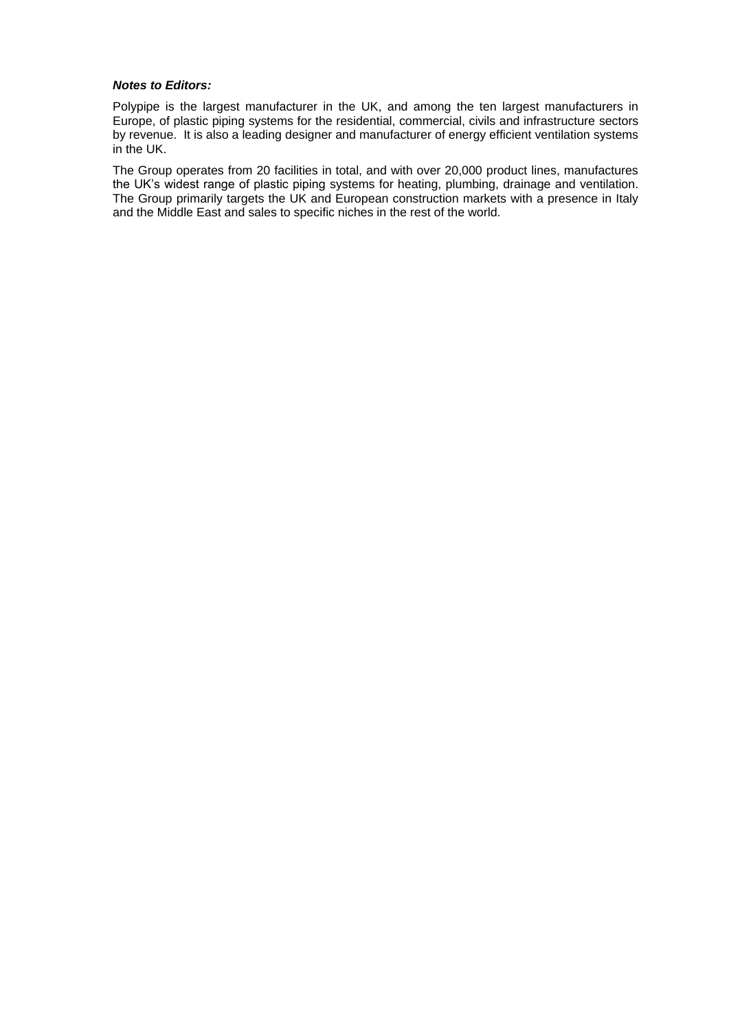### *Notes to Editors:*

Polypipe is the largest manufacturer in the UK, and among the ten largest manufacturers in Europe, of plastic piping systems for the residential, commercial, civils and infrastructure sectors by revenue. It is also a leading designer and manufacturer of energy efficient ventilation systems in the UK.

The Group operates from 20 facilities in total, and with over 20,000 product lines, manufactures the UK's widest range of plastic piping systems for heating, plumbing, drainage and ventilation. The Group primarily targets the UK and European construction markets with a presence in Italy and the Middle East and sales to specific niches in the rest of the world.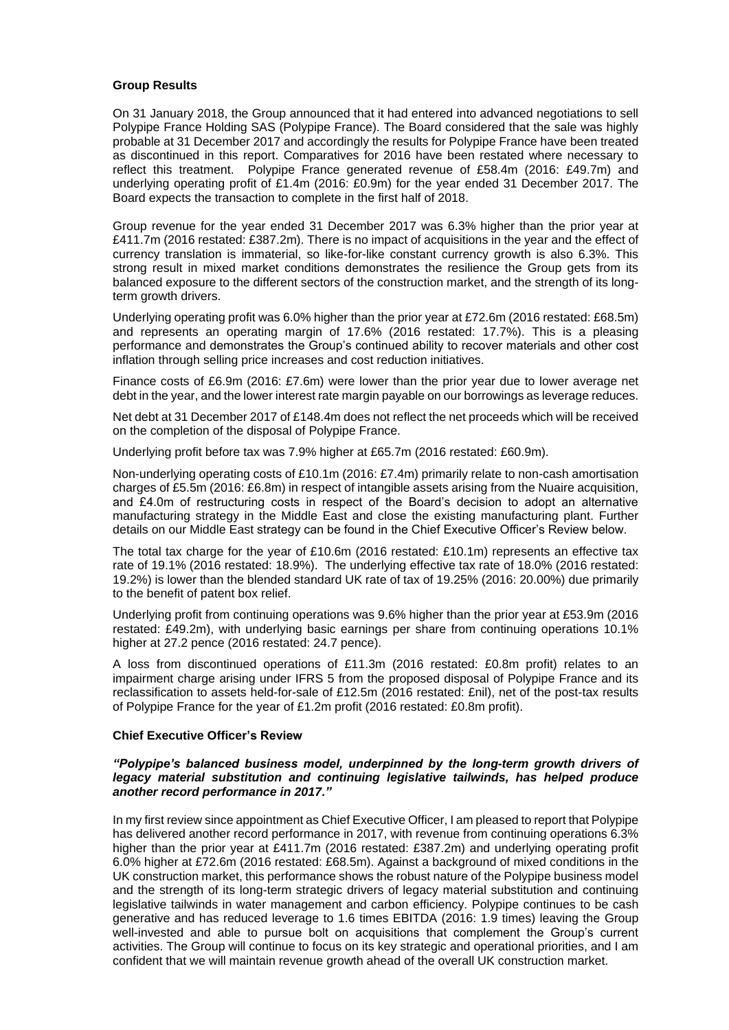### **Group Results**

On 31 January 2018, the Group announced that it had entered into advanced negotiations to sell Polypipe France Holding SAS (Polypipe France). The Board considered that the sale was highly probable at 31 December 2017 and accordingly the results for Polypipe France have been treated as discontinued in this report. Comparatives for 2016 have been restated where necessary to reflect this treatment. Polypipe France generated revenue of £58.4m (2016: £49.7m) and underlying operating profit of £1.4m (2016: £0.9m) for the year ended 31 December 2017. The Board expects the transaction to complete in the first half of 2018.

Group revenue for the year ended 31 December 2017 was 6.3% higher than the prior year at £411.7m (2016 restated: £387.2m). There is no impact of acquisitions in the year and the effect of currency translation is immaterial, so like-for-like constant currency growth is also 6.3%. This strong result in mixed market conditions demonstrates the resilience the Group gets from its balanced exposure to the different sectors of the construction market, and the strength of its longterm growth drivers.

Underlying operating profit was 6.0% higher than the prior year at £72.6m (2016 restated: £68.5m) and represents an operating margin of 17.6% (2016 restated: 17.7%). This is a pleasing performance and demonstrates the Group's continued ability to recover materials and other cost inflation through selling price increases and cost reduction initiatives.

Finance costs of £6.9m (2016: £7.6m) were lower than the prior year due to lower average net debt in the year, and the lower interest rate margin payable on our borrowings as leverage reduces.

Net debt at 31 December 2017 of £148.4m does not reflect the net proceeds which will be received on the completion of the disposal of Polypipe France.

Underlying profit before tax was 7.9% higher at £65.7m (2016 restated: £60.9m).

Non-underlying operating costs of £10.1m (2016: £7.4m) primarily relate to non-cash amortisation charges of £5.5m (2016: £6.8m) in respect of intangible assets arising from the Nuaire acquisition, and £4.0m of restructuring costs in respect of the Board's decision to adopt an alternative manufacturing strategy in the Middle East and close the existing manufacturing plant. Further details on our Middle East strategy can be found in the Chief Executive Officer's Review below.

The total tax charge for the year of £10.6m (2016 restated: £10.1m) represents an effective tax rate of 19.1% (2016 restated: 18.9%). The underlying effective tax rate of 18.0% (2016 restated: 19.2%) is lower than the blended standard UK rate of tax of 19.25% (2016: 20.00%) due primarily to the benefit of patent box relief.

Underlying profit from continuing operations was 9.6% higher than the prior year at £53.9m (2016 restated: £49.2m), with underlying basic earnings per share from continuing operations 10.1% higher at 27.2 pence (2016 restated: 24.7 pence).

A loss from discontinued operations of £11.3m (2016 restated: £0.8m profit) relates to an impairment charge arising under IFRS 5 from the proposed disposal of Polypipe France and its reclassification to assets held-for-sale of £12.5m (2016 restated: £nil), net of the post-tax results of Polypipe France for the year of £1.2m profit (2016 restated: £0.8m profit).

### **Chief Executive Officer's Review**

### *"Polypipe's balanced business model, underpinned by the long-term growth drivers of legacy material substitution and continuing legislative tailwinds, has helped produce another record performance in 2017."*

In my first review since appointment as Chief Executive Officer, I am pleased to report that Polypipe has delivered another record performance in 2017, with revenue from continuing operations 6.3% higher than the prior year at £411.7m (2016 restated: £387.2m) and underlying operating profit 6.0% higher at £72.6m (2016 restated: £68.5m). Against a background of mixed conditions in the UK construction market, this performance shows the robust nature of the Polypipe business model and the strength of its long-term strategic drivers of legacy material substitution and continuing legislative tailwinds in water management and carbon efficiency. Polypipe continues to be cash generative and has reduced leverage to 1.6 times EBITDA (2016: 1.9 times) leaving the Group well-invested and able to pursue bolt on acquisitions that complement the Group's current activities. The Group will continue to focus on its key strategic and operational priorities, and I am confident that we will maintain revenue growth ahead of the overall UK construction market.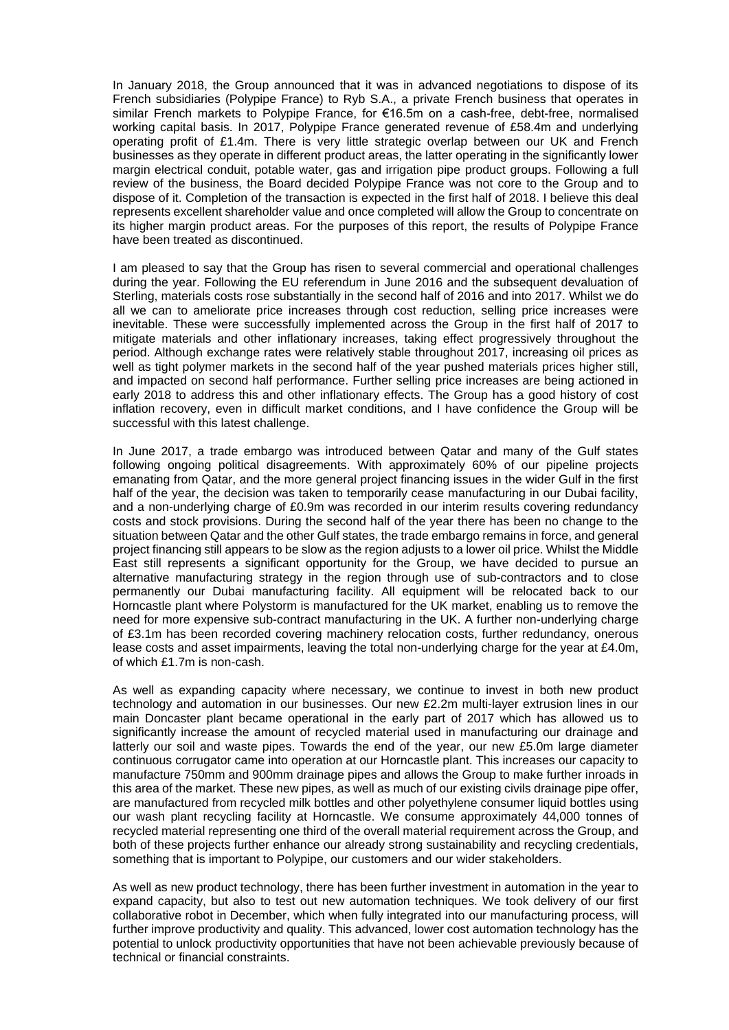In January 2018, the Group announced that it was in advanced negotiations to dispose of its French subsidiaries (Polypipe France) to Ryb S.A., a private French business that operates in similar French markets to Polypipe France, for €16.5m on a cash-free, debt-free, normalised working capital basis. In 2017, Polypipe France generated revenue of £58.4m and underlying operating profit of £1.4m. There is very little strategic overlap between our UK and French businesses as they operate in different product areas, the latter operating in the significantly lower margin electrical conduit, potable water, gas and irrigation pipe product groups. Following a full review of the business, the Board decided Polypipe France was not core to the Group and to dispose of it. Completion of the transaction is expected in the first half of 2018. I believe this deal represents excellent shareholder value and once completed will allow the Group to concentrate on its higher margin product areas. For the purposes of this report, the results of Polypipe France have been treated as discontinued.

I am pleased to say that the Group has risen to several commercial and operational challenges during the year. Following the EU referendum in June 2016 and the subsequent devaluation of Sterling, materials costs rose substantially in the second half of 2016 and into 2017. Whilst we do all we can to ameliorate price increases through cost reduction, selling price increases were inevitable. These were successfully implemented across the Group in the first half of 2017 to mitigate materials and other inflationary increases, taking effect progressively throughout the period. Although exchange rates were relatively stable throughout 2017, increasing oil prices as well as tight polymer markets in the second half of the year pushed materials prices higher still, and impacted on second half performance. Further selling price increases are being actioned in early 2018 to address this and other inflationary effects. The Group has a good history of cost inflation recovery, even in difficult market conditions, and I have confidence the Group will be successful with this latest challenge.

In June 2017, a trade embargo was introduced between Qatar and many of the Gulf states following ongoing political disagreements. With approximately 60% of our pipeline projects emanating from Qatar, and the more general project financing issues in the wider Gulf in the first half of the year, the decision was taken to temporarily cease manufacturing in our Dubai facility, and a non-underlying charge of £0.9m was recorded in our interim results covering redundancy costs and stock provisions. During the second half of the year there has been no change to the situation between Qatar and the other Gulf states, the trade embargo remains in force, and general project financing still appears to be slow as the region adjusts to a lower oil price. Whilst the Middle East still represents a significant opportunity for the Group, we have decided to pursue an alternative manufacturing strategy in the region through use of sub-contractors and to close permanently our Dubai manufacturing facility. All equipment will be relocated back to our Horncastle plant where Polystorm is manufactured for the UK market, enabling us to remove the need for more expensive sub-contract manufacturing in the UK. A further non-underlying charge of £3.1m has been recorded covering machinery relocation costs, further redundancy, onerous lease costs and asset impairments, leaving the total non-underlying charge for the year at £4.0m, of which £1.7m is non-cash.

As well as expanding capacity where necessary, we continue to invest in both new product technology and automation in our businesses. Our new £2.2m multi-layer extrusion lines in our main Doncaster plant became operational in the early part of 2017 which has allowed us to significantly increase the amount of recycled material used in manufacturing our drainage and latterly our soil and waste pipes. Towards the end of the year, our new £5.0m large diameter continuous corrugator came into operation at our Horncastle plant. This increases our capacity to manufacture 750mm and 900mm drainage pipes and allows the Group to make further inroads in this area of the market. These new pipes, as well as much of our existing civils drainage pipe offer, are manufactured from recycled milk bottles and other polyethylene consumer liquid bottles using our wash plant recycling facility at Horncastle. We consume approximately 44,000 tonnes of recycled material representing one third of the overall material requirement across the Group, and both of these projects further enhance our already strong sustainability and recycling credentials, something that is important to Polypipe, our customers and our wider stakeholders.

As well as new product technology, there has been further investment in automation in the year to expand capacity, but also to test out new automation techniques. We took delivery of our first collaborative robot in December, which when fully integrated into our manufacturing process, will further improve productivity and quality. This advanced, lower cost automation technology has the potential to unlock productivity opportunities that have not been achievable previously because of technical or financial constraints.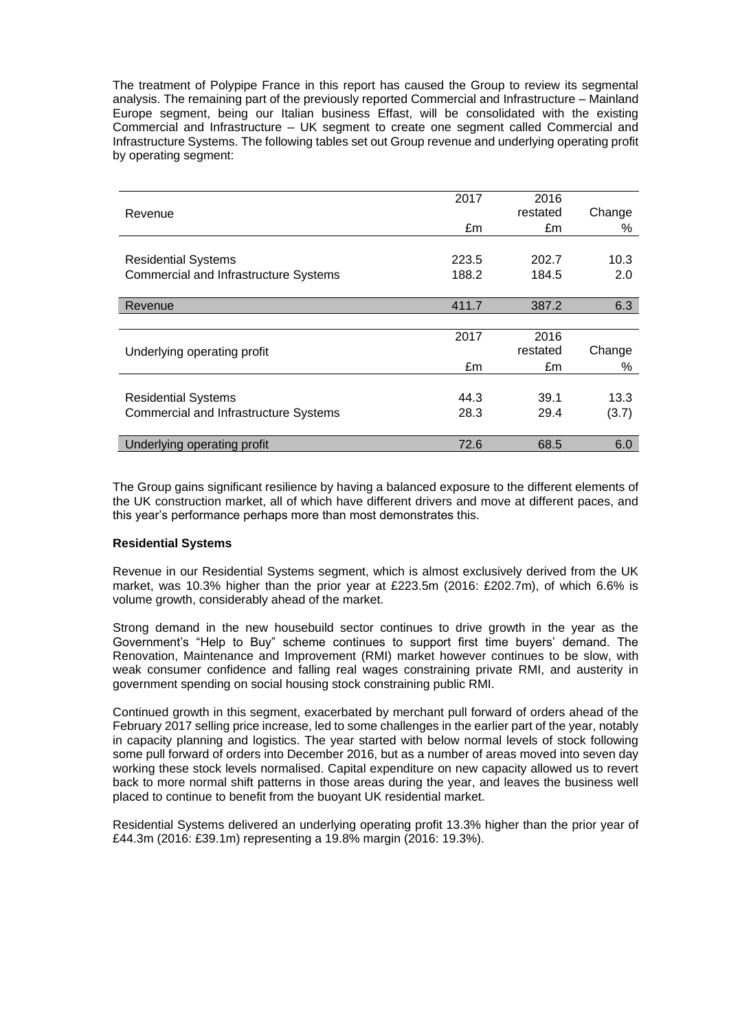The treatment of Polypipe France in this report has caused the Group to review its segmental analysis. The remaining part of the previously reported Commercial and Infrastructure – Mainland Europe segment, being our Italian business Effast, will be consolidated with the existing Commercial and Infrastructure – UK segment to create one segment called Commercial and Infrastructure Systems. The following tables set out Group revenue and underlying operating profit by operating segment:

| 2017  |          |        |
|-------|----------|--------|
|       | restated | Change |
| £m    | £m       | %      |
|       |          |        |
| 223.5 | 202.7    | 10.3   |
| 188.2 | 184.5    | 2.0    |
|       |          |        |
| 411.7 | 387.2    | 6.3    |
|       |          |        |
| 2017  | 2016     |        |
|       | restated | Change |
| £m    | £m       | %      |
|       |          |        |
| 44.3  | 39.1     | 13.3   |
| 28.3  | 29.4     | (3.7)  |
|       |          |        |
| 72.6  | 68.5     | 6.0    |
|       |          | 2016   |

The Group gains significant resilience by having a balanced exposure to the different elements of the UK construction market, all of which have different drivers and move at different paces, and this year's performance perhaps more than most demonstrates this.

### **Residential Systems**

Revenue in our Residential Systems segment, which is almost exclusively derived from the UK market, was 10.3% higher than the prior year at £223.5m (2016: £202.7m), of which 6.6% is volume growth, considerably ahead of the market.

Strong demand in the new housebuild sector continues to drive growth in the year as the Government's "Help to Buy" scheme continues to support first time buyers' demand. The Renovation, Maintenance and Improvement (RMI) market however continues to be slow, with weak consumer confidence and falling real wages constraining private RMI, and austerity in government spending on social housing stock constraining public RMI.

Continued growth in this segment, exacerbated by merchant pull forward of orders ahead of the February 2017 selling price increase, led to some challenges in the earlier part of the year, notably in capacity planning and logistics. The year started with below normal levels of stock following some pull forward of orders into December 2016, but as a number of areas moved into seven day working these stock levels normalised. Capital expenditure on new capacity allowed us to revert back to more normal shift patterns in those areas during the year, and leaves the business well placed to continue to benefit from the buoyant UK residential market.

Residential Systems delivered an underlying operating profit 13.3% higher than the prior year of £44.3m (2016: £39.1m) representing a 19.8% margin (2016: 19.3%).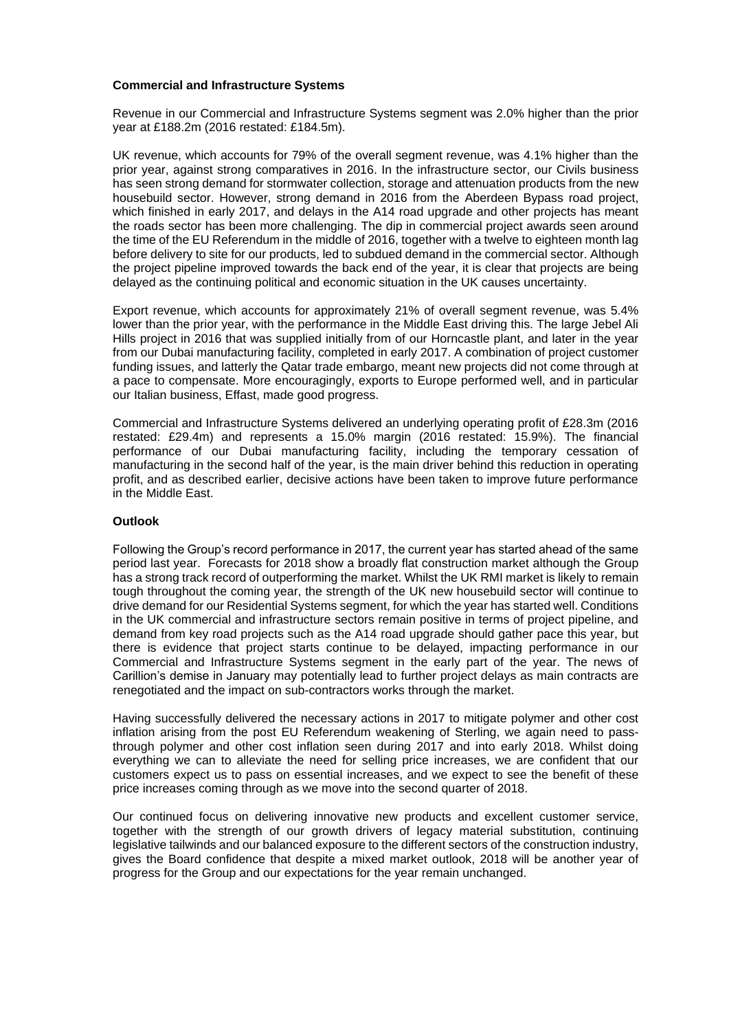### **Commercial and Infrastructure Systems**

Revenue in our Commercial and Infrastructure Systems segment was 2.0% higher than the prior year at £188.2m (2016 restated: £184.5m).

UK revenue, which accounts for 79% of the overall segment revenue, was 4.1% higher than the prior year, against strong comparatives in 2016. In the infrastructure sector, our Civils business has seen strong demand for stormwater collection, storage and attenuation products from the new housebuild sector. However, strong demand in 2016 from the Aberdeen Bypass road project, which finished in early 2017, and delays in the A14 road upgrade and other projects has meant the roads sector has been more challenging. The dip in commercial project awards seen around the time of the EU Referendum in the middle of 2016, together with a twelve to eighteen month lag before delivery to site for our products, led to subdued demand in the commercial sector. Although the project pipeline improved towards the back end of the year, it is clear that projects are being delayed as the continuing political and economic situation in the UK causes uncertainty.

Export revenue, which accounts for approximately 21% of overall segment revenue, was 5.4% lower than the prior year, with the performance in the Middle East driving this. The large Jebel Ali Hills project in 2016 that was supplied initially from of our Horncastle plant, and later in the year from our Dubai manufacturing facility, completed in early 2017. A combination of project customer funding issues, and latterly the Qatar trade embargo, meant new projects did not come through at a pace to compensate. More encouragingly, exports to Europe performed well, and in particular our Italian business, Effast, made good progress.

Commercial and Infrastructure Systems delivered an underlying operating profit of £28.3m (2016 restated: £29.4m) and represents a 15.0% margin (2016 restated: 15.9%). The financial performance of our Dubai manufacturing facility, including the temporary cessation of manufacturing in the second half of the year, is the main driver behind this reduction in operating profit, and as described earlier, decisive actions have been taken to improve future performance in the Middle East.

### **Outlook**

Following the Group's record performance in 2017, the current year has started ahead of the same period last year. Forecasts for 2018 show a broadly flat construction market although the Group has a strong track record of outperforming the market. Whilst the UK RMI market is likely to remain tough throughout the coming year, the strength of the UK new housebuild sector will continue to drive demand for our Residential Systems segment, for which the year has started well. Conditions in the UK commercial and infrastructure sectors remain positive in terms of project pipeline, and demand from key road projects such as the A14 road upgrade should gather pace this year, but there is evidence that project starts continue to be delayed, impacting performance in our Commercial and Infrastructure Systems segment in the early part of the year. The news of Carillion's demise in January may potentially lead to further project delays as main contracts are renegotiated and the impact on sub-contractors works through the market.

Having successfully delivered the necessary actions in 2017 to mitigate polymer and other cost inflation arising from the post EU Referendum weakening of Sterling, we again need to passthrough polymer and other cost inflation seen during 2017 and into early 2018. Whilst doing everything we can to alleviate the need for selling price increases, we are confident that our customers expect us to pass on essential increases, and we expect to see the benefit of these price increases coming through as we move into the second quarter of 2018.

Our continued focus on delivering innovative new products and excellent customer service, together with the strength of our growth drivers of legacy material substitution, continuing legislative tailwinds and our balanced exposure to the different sectors of the construction industry, gives the Board confidence that despite a mixed market outlook, 2018 will be another year of progress for the Group and our expectations for the year remain unchanged.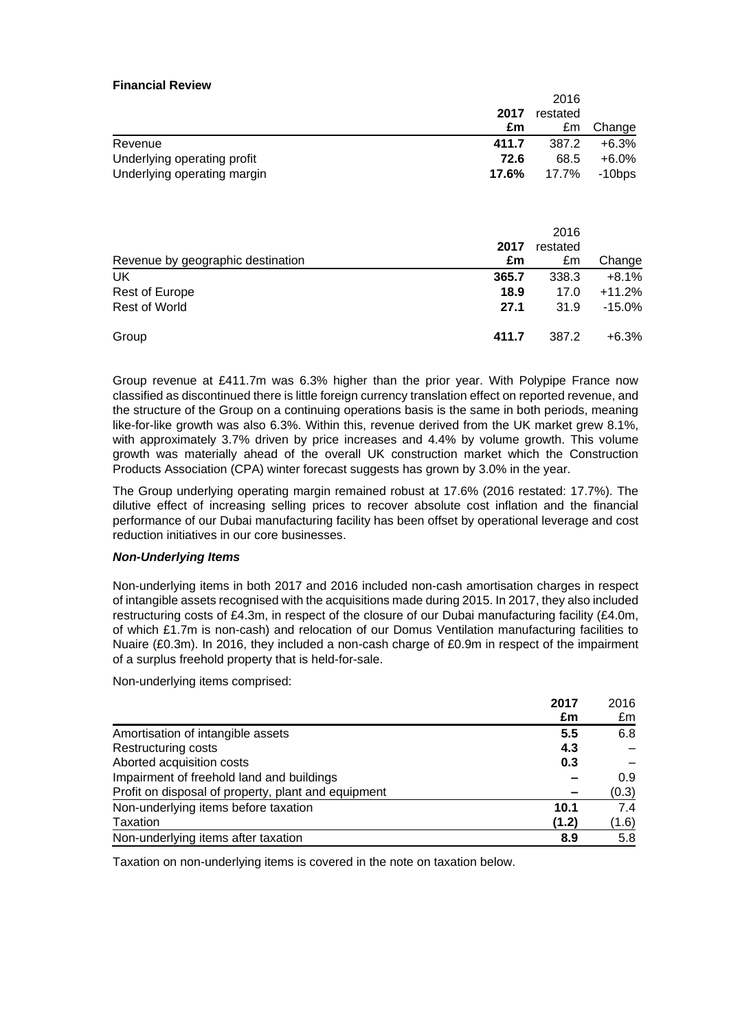### **Financial Review**

| 20 I V |       |           |
|--------|-------|-----------|
| 2017   |       |           |
| £m     | £m    | Change    |
| 411.7  | 387.2 | $+6.3%$   |
| 72.6   | 68.5  | $+6.0%$   |
| 17.6%  | 17.7% | $-10$ bps |
|        |       | restated  |

 $2016$ 

| Revenue by geographic destination | 2017<br>£m | 2016<br>restated<br>£m | Change   |
|-----------------------------------|------------|------------------------|----------|
| UK                                | 365.7      | 338.3                  | $+8.1%$  |
| Rest of Europe                    | 18.9       | 17.0                   | $+11.2%$ |
| <b>Rest of World</b>              | 27.1       | 31.9                   | $-15.0%$ |
| Group                             | 411.7      | 387.2                  | $+6.3%$  |

Group revenue at £411.7m was 6.3% higher than the prior year. With Polypipe France now classified as discontinued there is little foreign currency translation effect on reported revenue, and the structure of the Group on a continuing operations basis is the same in both periods, meaning like-for-like growth was also 6.3%. Within this, revenue derived from the UK market grew 8.1%, with approximately 3.7% driven by price increases and 4.4% by volume growth. This volume growth was materially ahead of the overall UK construction market which the Construction Products Association (CPA) winter forecast suggests has grown by 3.0% in the year.

The Group underlying operating margin remained robust at 17.6% (2016 restated: 17.7%). The dilutive effect of increasing selling prices to recover absolute cost inflation and the financial performance of our Dubai manufacturing facility has been offset by operational leverage and cost reduction initiatives in our core businesses.

### *Non-Underlying Items*

Non-underlying items in both 2017 and 2016 included non-cash amortisation charges in respect of intangible assets recognised with the acquisitions made during 2015. In 2017, they also included restructuring costs of £4.3m, in respect of the closure of our Dubai manufacturing facility (£4.0m, of which £1.7m is non-cash) and relocation of our Domus Ventilation manufacturing facilities to Nuaire (£0.3m). In 2016, they included a non-cash charge of £0.9m in respect of the impairment of a surplus freehold property that is held-for-sale.

Non-underlying items comprised:

|                                                     | 2017  | 2016  |
|-----------------------------------------------------|-------|-------|
|                                                     | £m    | £m    |
| Amortisation of intangible assets                   | 5.5   | 6.8   |
| <b>Restructuring costs</b>                          | 4.3   |       |
| Aborted acquisition costs                           | 0.3   |       |
| Impairment of freehold land and buildings           |       | 0.9   |
| Profit on disposal of property, plant and equipment |       | (0.3) |
| Non-underlying items before taxation                | 10.1  | 7.4   |
| Taxation                                            | (1.2) | (1.6) |
| Non-underlying items after taxation                 | 8.9   | 5.8   |

Taxation on non-underlying items is covered in the note on taxation below.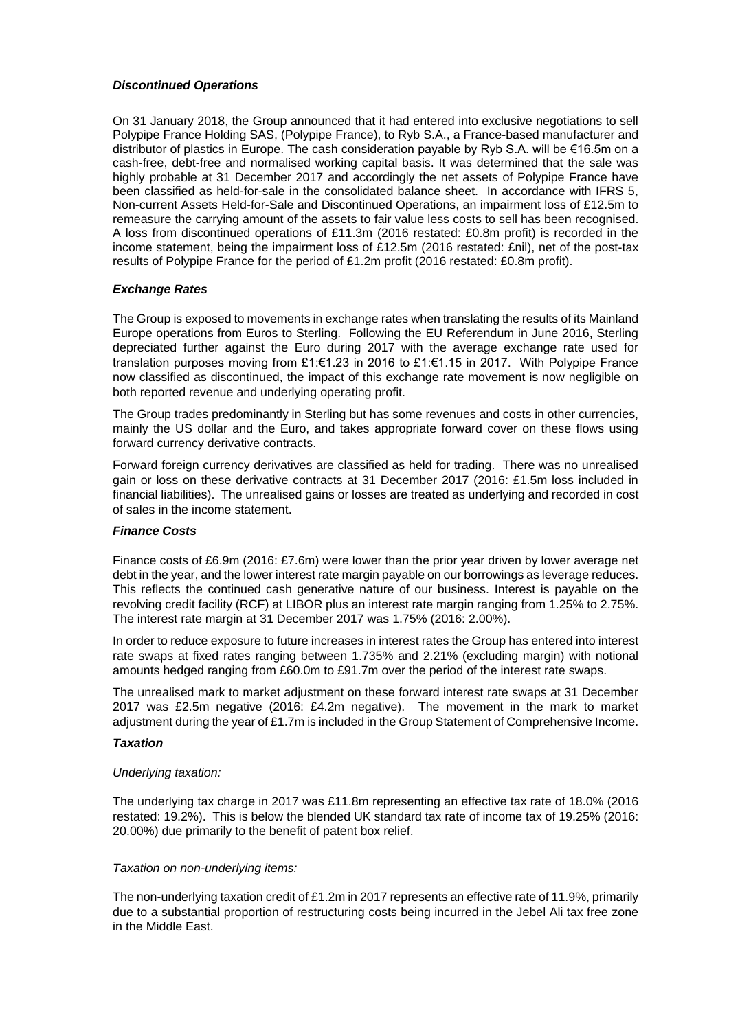### *Discontinued Operations*

On 31 January 2018, the Group announced that it had entered into exclusive negotiations to sell Polypipe France Holding SAS, (Polypipe France), to Ryb S.A., a France-based manufacturer and distributor of plastics in Europe. The cash consideration payable by Ryb S.A. will be €16.5m on a cash-free, debt-free and normalised working capital basis. It was determined that the sale was highly probable at 31 December 2017 and accordingly the net assets of Polypipe France have been classified as held-for-sale in the consolidated balance sheet. In accordance with IFRS 5, Non-current Assets Held-for-Sale and Discontinued Operations, an impairment loss of £12.5m to remeasure the carrying amount of the assets to fair value less costs to sell has been recognised. A loss from discontinued operations of £11.3m (2016 restated: £0.8m profit) is recorded in the income statement, being the impairment loss of £12.5m (2016 restated: £nil), net of the post-tax results of Polypipe France for the period of £1.2m profit (2016 restated: £0.8m profit).

### *Exchange Rates*

The Group is exposed to movements in exchange rates when translating the results of its Mainland Europe operations from Euros to Sterling. Following the EU Referendum in June 2016, Sterling depreciated further against the Euro during 2017 with the average exchange rate used for translation purposes moving from £1:€1.23 in 2016 to £1:€1.15 in 2017. With Polypipe France now classified as discontinued, the impact of this exchange rate movement is now negligible on both reported revenue and underlying operating profit.

The Group trades predominantly in Sterling but has some revenues and costs in other currencies, mainly the US dollar and the Euro, and takes appropriate forward cover on these flows using forward currency derivative contracts.

Forward foreign currency derivatives are classified as held for trading. There was no unrealised gain or loss on these derivative contracts at 31 December 2017 (2016: £1.5m loss included in financial liabilities). The unrealised gains or losses are treated as underlying and recorded in cost of sales in the income statement.

### *Finance Costs*

Finance costs of £6.9m (2016: £7.6m) were lower than the prior year driven by lower average net debt in the year, and the lower interest rate margin payable on our borrowings as leverage reduces. This reflects the continued cash generative nature of our business. Interest is payable on the revolving credit facility (RCF) at LIBOR plus an interest rate margin ranging from 1.25% to 2.75%. The interest rate margin at 31 December 2017 was 1.75% (2016: 2.00%).

In order to reduce exposure to future increases in interest rates the Group has entered into interest rate swaps at fixed rates ranging between 1.735% and 2.21% (excluding margin) with notional amounts hedged ranging from £60.0m to £91.7m over the period of the interest rate swaps.

The unrealised mark to market adjustment on these forward interest rate swaps at 31 December 2017 was £2.5m negative (2016: £4.2m negative). The movement in the mark to market adjustment during the year of £1.7m is included in the Group Statement of Comprehensive Income.

### *Taxation*

### *Underlying taxation:*

The underlying tax charge in 2017 was £11.8m representing an effective tax rate of 18.0% (2016 restated: 19.2%). This is below the blended UK standard tax rate of income tax of 19.25% (2016: 20.00%) due primarily to the benefit of patent box relief.

### *Taxation on non-underlying items:*

The non-underlying taxation credit of £1.2m in 2017 represents an effective rate of 11.9%, primarily due to a substantial proportion of restructuring costs being incurred in the Jebel Ali tax free zone in the Middle East.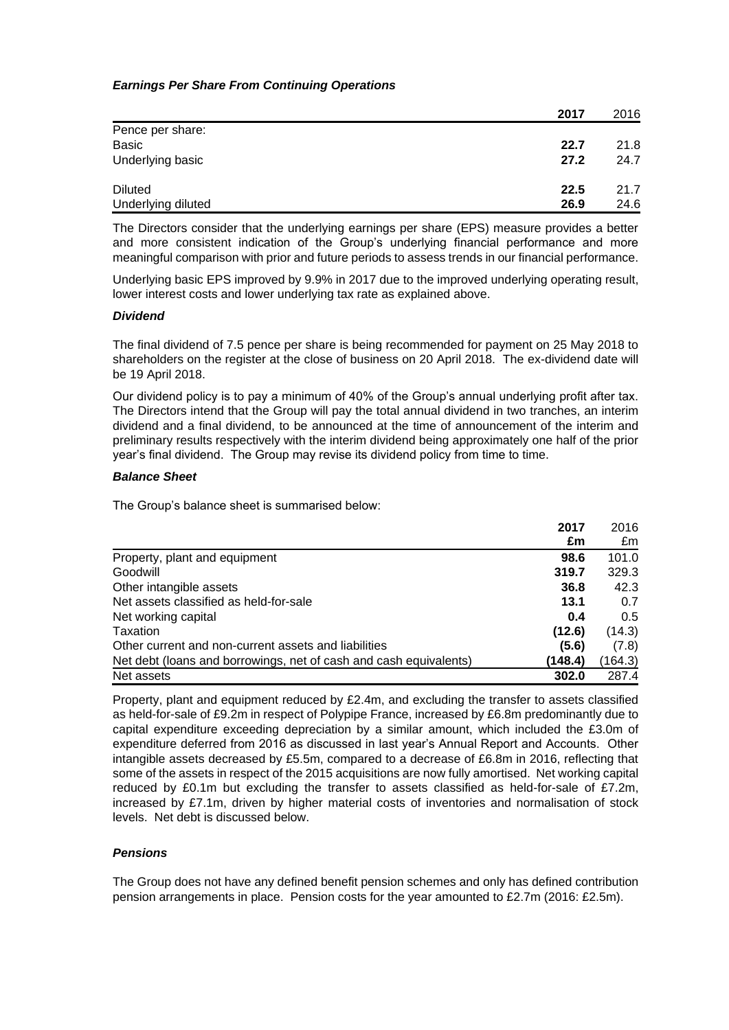### *Earnings Per Share From Continuing Operations*

|                    | 2017 | 2016 |
|--------------------|------|------|
| Pence per share:   |      |      |
| <b>Basic</b>       | 22.7 | 21.8 |
| Underlying basic   | 27.2 | 24.7 |
| <b>Diluted</b>     | 22.5 | 21.7 |
| Underlying diluted | 26.9 | 24.6 |

The Directors consider that the underlying earnings per share (EPS) measure provides a better and more consistent indication of the Group's underlying financial performance and more meaningful comparison with prior and future periods to assess trends in our financial performance.

Underlying basic EPS improved by 9.9% in 2017 due to the improved underlying operating result, lower interest costs and lower underlying tax rate as explained above.

### *Dividend*

The final dividend of 7.5 pence per share is being recommended for payment on 25 May 2018 to shareholders on the register at the close of business on 20 April 2018. The ex-dividend date will be 19 April 2018.

Our dividend policy is to pay a minimum of 40% of the Group's annual underlying profit after tax. The Directors intend that the Group will pay the total annual dividend in two tranches, an interim dividend and a final dividend, to be announced at the time of announcement of the interim and preliminary results respectively with the interim dividend being approximately one half of the prior year's final dividend. The Group may revise its dividend policy from time to time.

### *Balance Sheet*

The Group's balance sheet is summarised below:

|                                                                   | 2017    | 2016          |
|-------------------------------------------------------------------|---------|---------------|
|                                                                   | £m      | £m            |
| Property, plant and equipment                                     | 98.6    | 101.0         |
| Goodwill                                                          | 319.7   | 329.3         |
| Other intangible assets                                           | 36.8    | 42.3          |
| Net assets classified as held-for-sale                            | 13.1    | 0.7           |
| Net working capital                                               | 0.4     | $0.5^{\circ}$ |
| Taxation                                                          | (12.6)  | (14.3)        |
| Other current and non-current assets and liabilities              | (5.6)   | (7.8)         |
| Net debt (loans and borrowings, net of cash and cash equivalents) | (148.4) | (164.3)       |
| Net assets                                                        | 302.0   | 287.4         |

Property, plant and equipment reduced by £2.4m, and excluding the transfer to assets classified as held-for-sale of £9.2m in respect of Polypipe France, increased by £6.8m predominantly due to capital expenditure exceeding depreciation by a similar amount, which included the £3.0m of expenditure deferred from 2016 as discussed in last year's Annual Report and Accounts. Other intangible assets decreased by £5.5m, compared to a decrease of £6.8m in 2016, reflecting that some of the assets in respect of the 2015 acquisitions are now fully amortised. Net working capital reduced by £0.1m but excluding the transfer to assets classified as held-for-sale of £7.2m, increased by £7.1m, driven by higher material costs of inventories and normalisation of stock levels. Net debt is discussed below.

### *Pensions*

The Group does not have any defined benefit pension schemes and only has defined contribution pension arrangements in place. Pension costs for the year amounted to £2.7m (2016: £2.5m).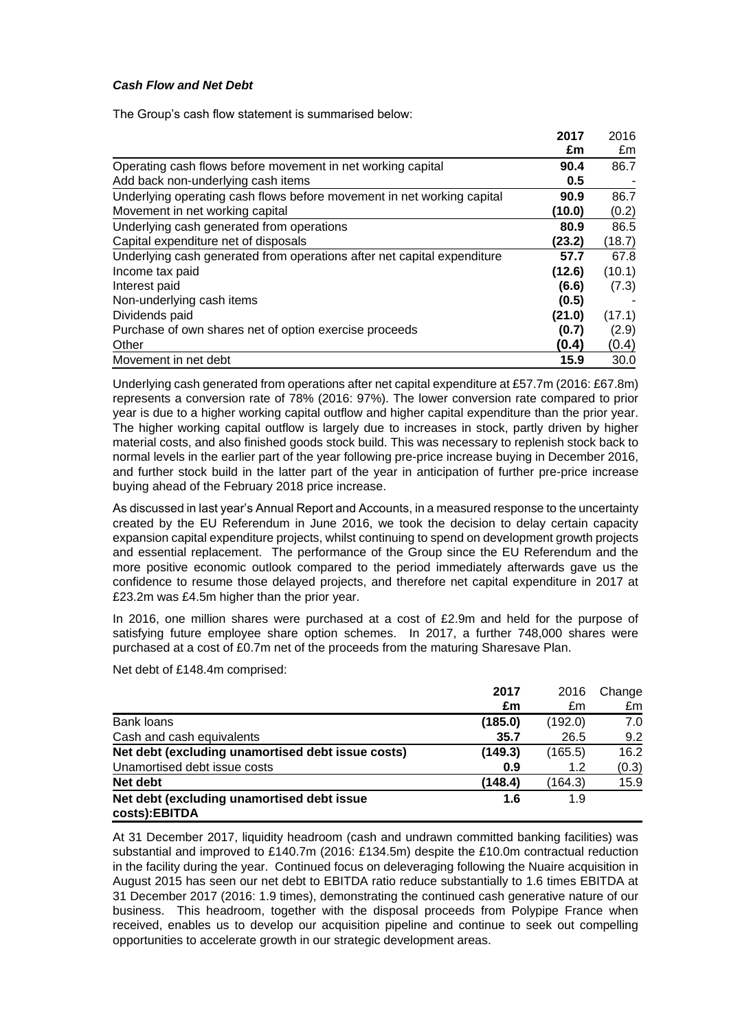### *Cash Flow and Net Debt*

The Group's cash flow statement is summarised below:

|                                                                         | 2017   | 2016   |
|-------------------------------------------------------------------------|--------|--------|
|                                                                         | £m     | £m     |
| Operating cash flows before movement in net working capital             | 90.4   | 86.7   |
| Add back non-underlying cash items                                      | 0.5    |        |
| Underlying operating cash flows before movement in net working capital  | 90.9   | 86.7   |
| Movement in net working capital                                         | (10.0) | (0.2)  |
| Underlying cash generated from operations                               | 80.9   | 86.5   |
| Capital expenditure net of disposals                                    | (23.2) | (18.7) |
| Underlying cash generated from operations after net capital expenditure | 57.7   | 67.8   |
| Income tax paid                                                         | (12.6) | (10.1) |
| Interest paid                                                           | (6.6)  | (7.3)  |
| Non-underlying cash items                                               | (0.5)  |        |
| Dividends paid                                                          | (21.0) | (17.1) |
| Purchase of own shares net of option exercise proceeds                  | (0.7)  | (2.9)  |
| Other                                                                   | (0.4)  | (0.4)  |
| Movement in net debt                                                    | 15.9   | 30.0   |

Underlying cash generated from operations after net capital expenditure at £57.7m (2016: £67.8m) represents a conversion rate of 78% (2016: 97%). The lower conversion rate compared to prior year is due to a higher working capital outflow and higher capital expenditure than the prior year. The higher working capital outflow is largely due to increases in stock, partly driven by higher material costs, and also finished goods stock build. This was necessary to replenish stock back to normal levels in the earlier part of the year following pre-price increase buying in December 2016, and further stock build in the latter part of the year in anticipation of further pre-price increase buying ahead of the February 2018 price increase.

As discussed in last year's Annual Report and Accounts, in a measured response to the uncertainty created by the EU Referendum in June 2016, we took the decision to delay certain capacity expansion capital expenditure projects, whilst continuing to spend on development growth projects and essential replacement. The performance of the Group since the EU Referendum and the more positive economic outlook compared to the period immediately afterwards gave us the confidence to resume those delayed projects, and therefore net capital expenditure in 2017 at £23.2m was £4.5m higher than the prior year.

In 2016, one million shares were purchased at a cost of £2.9m and held for the purpose of satisfying future employee share option schemes. In 2017, a further 748,000 shares were purchased at a cost of £0.7m net of the proceeds from the maturing Sharesave Plan.

Net debt of £148.4m comprised:

|                                                             | 2017    | 2016    | Change |
|-------------------------------------------------------------|---------|---------|--------|
|                                                             | £m      | £m      | £m     |
| Bank loans                                                  | (185.0) | (192.0) | 7.0    |
| Cash and cash equivalents                                   | 35.7    | 26.5    | 9.2    |
| Net debt (excluding unamortised debt issue costs)           | (149.3) | (165.5) | 16.2   |
| Unamortised debt issue costs                                | 0.9     | 1.2     | (0.3)  |
| Net debt                                                    | (148.4) | (164.3) | 15.9   |
| Net debt (excluding unamortised debt issue<br>costs):EBITDA | 1.6     | 1.9     |        |

At 31 December 2017, liquidity headroom (cash and undrawn committed banking facilities) was substantial and improved to £140.7m (2016: £134.5m) despite the £10.0m contractual reduction in the facility during the year. Continued focus on deleveraging following the Nuaire acquisition in August 2015 has seen our net debt to EBITDA ratio reduce substantially to 1.6 times EBITDA at 31 December 2017 (2016: 1.9 times), demonstrating the continued cash generative nature of our business. This headroom, together with the disposal proceeds from Polypipe France when received, enables us to develop our acquisition pipeline and continue to seek out compelling opportunities to accelerate growth in our strategic development areas.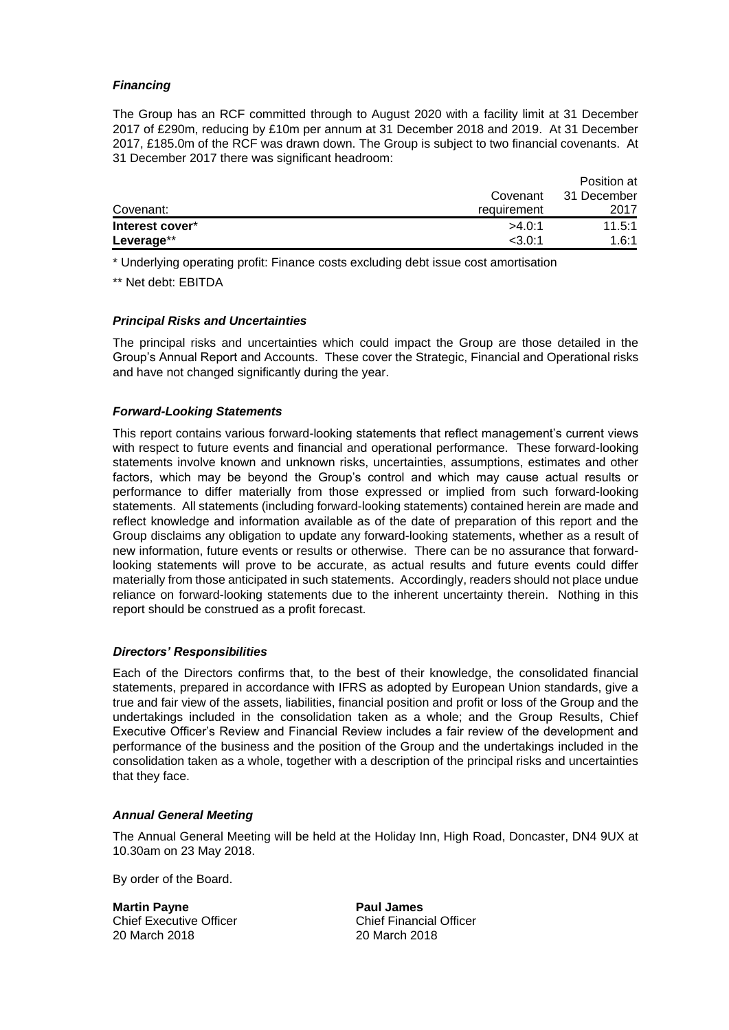### *Financing*

The Group has an RCF committed through to August 2020 with a facility limit at 31 December 2017 of £290m, reducing by £10m per annum at 31 December 2018 and 2019. At 31 December 2017, £185.0m of the RCF was drawn down. The Group is subject to two financial covenants. At 31 December 2017 there was significant headroom:

|                 |             | Position at |
|-----------------|-------------|-------------|
|                 | Covenant    | 31 December |
| Covenant:       | requirement | 2017        |
| Interest cover* | >4.0:1      | 11.5:1      |
| Leverage**      | $<$ 3.0:1   | 1.6:1       |

\* Underlying operating profit: Finance costs excluding debt issue cost amortisation

\*\* Net debt: EBITDA

### *Principal Risks and Uncertainties*

The principal risks and uncertainties which could impact the Group are those detailed in the Group's Annual Report and Accounts. These cover the Strategic, Financial and Operational risks and have not changed significantly during the year.

### *Forward-Looking Statements*

This report contains various forward-looking statements that reflect management's current views with respect to future events and financial and operational performance. These forward-looking statements involve known and unknown risks, uncertainties, assumptions, estimates and other factors, which may be beyond the Group's control and which may cause actual results or performance to differ materially from those expressed or implied from such forward-looking statements. All statements (including forward-looking statements) contained herein are made and reflect knowledge and information available as of the date of preparation of this report and the Group disclaims any obligation to update any forward-looking statements, whether as a result of new information, future events or results or otherwise. There can be no assurance that forwardlooking statements will prove to be accurate, as actual results and future events could differ materially from those anticipated in such statements. Accordingly, readers should not place undue reliance on forward-looking statements due to the inherent uncertainty therein. Nothing in this report should be construed as a profit forecast.

### *Directors' Responsibilities*

Each of the Directors confirms that, to the best of their knowledge, the consolidated financial statements, prepared in accordance with IFRS as adopted by European Union standards, give a true and fair view of the assets, liabilities, financial position and profit or loss of the Group and the undertakings included in the consolidation taken as a whole; and the Group Results, Chief Executive Officer's Review and Financial Review includes a fair review of the development and performance of the business and the position of the Group and the undertakings included in the consolidation taken as a whole, together with a description of the principal risks and uncertainties that they face.

### *Annual General Meeting*

The Annual General Meeting will be held at the Holiday Inn, High Road, Doncaster, DN4 9UX at 10.30am on 23 May 2018.

By order of the Board.

Chief Executive Officer 20 March 2018 20 March 2018

**Martin Payne Paul James**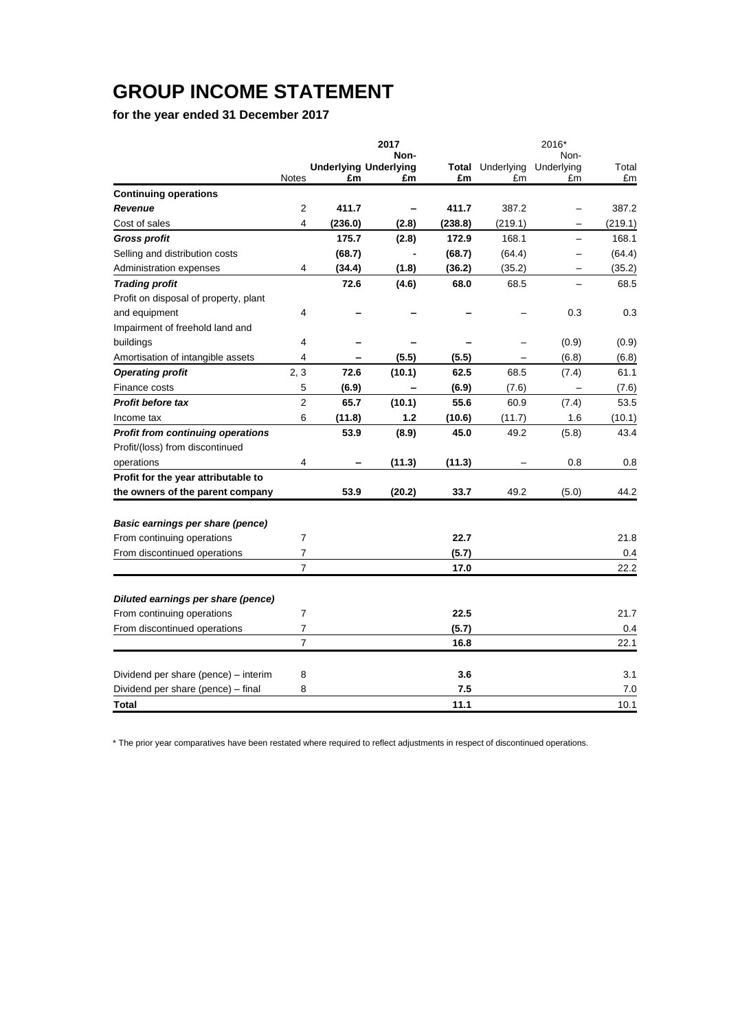# **GROUP INCOME STATEMENT**

**for the year ended 31 December 2017**

|                                                                 |                                    | 2017   |               |                  | 2016*                    |             |
|-----------------------------------------------------------------|------------------------------------|--------|---------------|------------------|--------------------------|-------------|
|                                                                 |                                    | Non-   |               |                  | Non-                     |             |
| <b>Notes</b>                                                    | <b>Underlying Underlying</b><br>£m | £m     | Total<br>£m   | Underlying<br>£m | Underlying<br>£m         | Total<br>£m |
| <b>Continuing operations</b>                                    |                                    |        |               |                  |                          |             |
| <b>Revenue</b><br>2                                             | 411.7                              |        | 411.7         | 387.2            |                          | 387.2       |
| Cost of sales<br>4                                              | (236.0)                            | (2.8)  | (238.8)       | (219.1)          |                          | (219.1)     |
| <b>Gross profit</b>                                             | 175.7                              | (2.8)  | 172.9         | 168.1            |                          | 168.1       |
| Selling and distribution costs                                  | (68.7)                             |        | (68.7)        | (64.4)           | $\overline{\phantom{0}}$ | (64.4)      |
| Administration expenses<br>4                                    | (34.4)                             | (1.8)  | (36.2)        | (35.2)           |                          | (35.2)      |
| <b>Trading profit</b>                                           | 72.6                               | (4.6)  | 68.0          | 68.5             |                          | 68.5        |
| Profit on disposal of property, plant                           |                                    |        |               |                  |                          |             |
| and equipment<br>4                                              |                                    |        |               |                  | 0.3                      | 0.3         |
| Impairment of freehold land and                                 |                                    |        |               |                  |                          |             |
| buildings<br>4                                                  |                                    |        |               |                  | (0.9)                    | (0.9)       |
| Amortisation of intangible assets<br>4                          |                                    | (5.5)  | (5.5)         |                  | (6.8)                    | (6.8)       |
| 2, 3<br><b>Operating profit</b>                                 | 72.6                               | (10.1) | 62.5          | 68.5             | (7.4)                    | 61.1        |
| 5<br>Finance costs                                              | (6.9)                              |        | (6.9)         | (7.6)            | $\overline{\phantom{0}}$ | (7.6)       |
| $\overline{2}$<br><b>Profit before tax</b>                      | 65.7                               | (10.1) | 55.6          | 60.9             | (7.4)                    | 53.5        |
| 6<br>Income tax                                                 | (11.8)                             | 1.2    | (10.6)        | (11.7)           | 1.6                      | (10.1)      |
| <b>Profit from continuing operations</b>                        | 53.9                               | (8.9)  | 45.0          | 49.2             | (5.8)                    | 43.4        |
| Profit/(loss) from discontinued                                 |                                    |        |               |                  |                          |             |
| 4<br>operations                                                 |                                    | (11.3) | (11.3)        |                  | 0.8                      | 0.8         |
| Profit for the year attributable to                             |                                    |        |               |                  |                          |             |
| the owners of the parent company                                | 53.9                               | (20.2) | 33.7          | 49.2             | (5.0)                    | 44.2        |
|                                                                 |                                    |        |               |                  |                          |             |
| Basic earnings per share (pence)<br>7                           |                                    |        | 22.7          |                  |                          | 21.8        |
| From continuing operations<br>From discontinued operations<br>7 |                                    |        |               |                  |                          | 0.4         |
| $\overline{7}$                                                  |                                    |        | (5.7)<br>17.0 |                  |                          | 22.2        |
|                                                                 |                                    |        |               |                  |                          |             |
| Diluted earnings per share (pence)                              |                                    |        |               |                  |                          |             |
| From continuing operations<br>7                                 |                                    |        | 22.5          |                  |                          | 21.7        |
| From discontinued operations<br>7                               |                                    |        | (5.7)         |                  |                          | 0.4         |
| $\overline{7}$                                                  |                                    |        | 16.8          |                  |                          | 22.1        |
| Dividend per share (pence) - interim<br>8                       |                                    |        | 3.6           |                  |                          | 3.1         |
| Dividend per share (pence) - final<br>8                         |                                    |        | 7.5           |                  |                          | 7.0         |
| Total                                                           |                                    |        | 11.1          |                  |                          | 10.1        |

\* The prior year comparatives have been restated where required to reflect adjustments in respect of discontinued operations.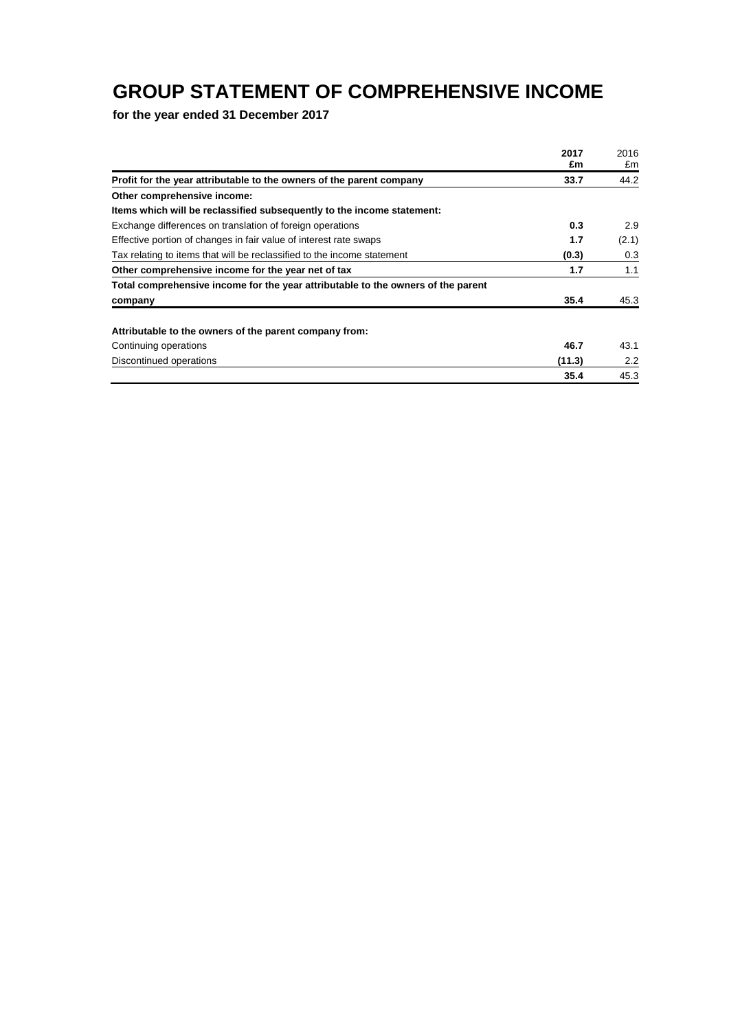## **GROUP STATEMENT OF COMPREHENSIVE INCOME**

**for the year ended 31 December 2017**

|                                                                                  | 2017   | 2016  |
|----------------------------------------------------------------------------------|--------|-------|
|                                                                                  | £m     | £m    |
| Profit for the year attributable to the owners of the parent company             | 33.7   | 44.2  |
| Other comprehensive income:                                                      |        |       |
| Items which will be reclassified subsequently to the income statement:           |        |       |
| Exchange differences on translation of foreign operations                        | 0.3    | 2.9   |
| Effective portion of changes in fair value of interest rate swaps                | 1.7    | (2.1) |
| Tax relating to items that will be reclassified to the income statement          | (0.3)  | 0.3   |
| Other comprehensive income for the year net of tax                               | 1.7    | 1.1   |
| Total comprehensive income for the year attributable to the owners of the parent |        |       |
| company                                                                          | 35.4   | 45.3  |
| Attributable to the owners of the parent company from:                           |        |       |
| Continuing operations                                                            | 46.7   | 43.1  |
| Discontinued operations                                                          | (11.3) | 2.2   |
|                                                                                  | 35.4   | 45.3  |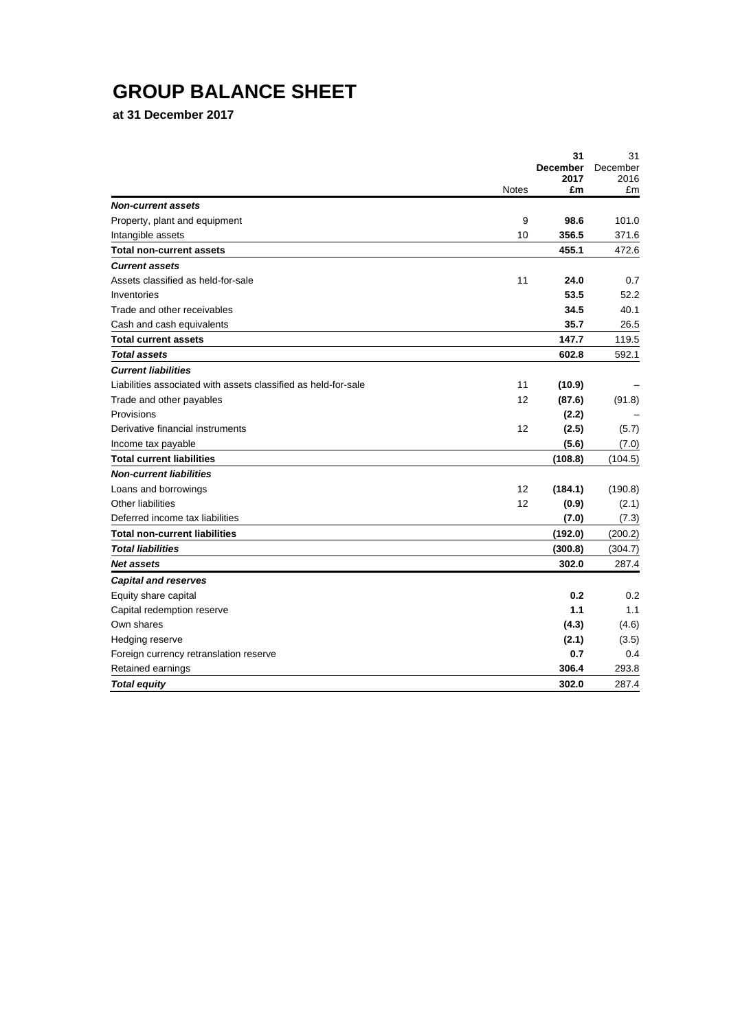# **GROUP BALANCE SHEET**

**at 31 December 2017**

|                                                                |              | 31<br><b>December</b> | 31               |
|----------------------------------------------------------------|--------------|-----------------------|------------------|
|                                                                |              | 2017                  | December<br>2016 |
|                                                                | <b>Notes</b> | £m                    | £m               |
| <b>Non-current assets</b>                                      |              |                       |                  |
| Property, plant and equipment                                  | 9            | 98.6                  | 101.0            |
| Intangible assets                                              | 10           | 356.5                 | 371.6            |
| <b>Total non-current assets</b>                                |              | 455.1                 | 472.6            |
| <b>Current assets</b>                                          |              |                       |                  |
| Assets classified as held-for-sale                             | 11           | 24.0                  | 0.7              |
| Inventories                                                    |              | 53.5                  | 52.2             |
| Trade and other receivables                                    |              | 34.5                  | 40.1             |
| Cash and cash equivalents                                      |              | 35.7                  | 26.5             |
| <b>Total current assets</b>                                    |              | 147.7                 | 119.5            |
| <b>Total assets</b>                                            |              | 602.8                 | 592.1            |
| <b>Current liabilities</b>                                     |              |                       |                  |
| Liabilities associated with assets classified as held-for-sale | 11           | (10.9)                |                  |
| Trade and other payables                                       | 12           | (87.6)                | (91.8)           |
| Provisions                                                     |              | (2.2)                 |                  |
| Derivative financial instruments                               | 12           | (2.5)                 | (5.7)            |
| Income tax payable                                             |              | (5.6)                 | (7.0)            |
| <b>Total current liabilities</b>                               |              | (108.8)               | (104.5)          |
| <b>Non-current liabilities</b>                                 |              |                       |                  |
| Loans and borrowings                                           | 12           | (184.1)               | (190.8)          |
| Other liabilities                                              | 12           | (0.9)                 | (2.1)            |
| Deferred income tax liabilities                                |              | (7.0)                 | (7.3)            |
| <b>Total non-current liabilities</b>                           |              | (192.0)               | (200.2)          |
| <b>Total liabilities</b>                                       |              | (300.8)               | (304.7)          |
| <b>Net assets</b>                                              |              | 302.0                 | 287.4            |
| <b>Capital and reserves</b>                                    |              |                       |                  |
| Equity share capital                                           |              | 0.2                   | 0.2              |
| Capital redemption reserve                                     |              | 1.1                   | 1.1              |
| Own shares                                                     |              | (4.3)                 | (4.6)            |
| Hedging reserve                                                |              | (2.1)                 | (3.5)            |
| Foreign currency retranslation reserve                         |              | 0.7                   | 0.4              |
| Retained earnings                                              |              | 306.4                 | 293.8            |
| <b>Total equity</b>                                            |              | 302.0                 | 287.4            |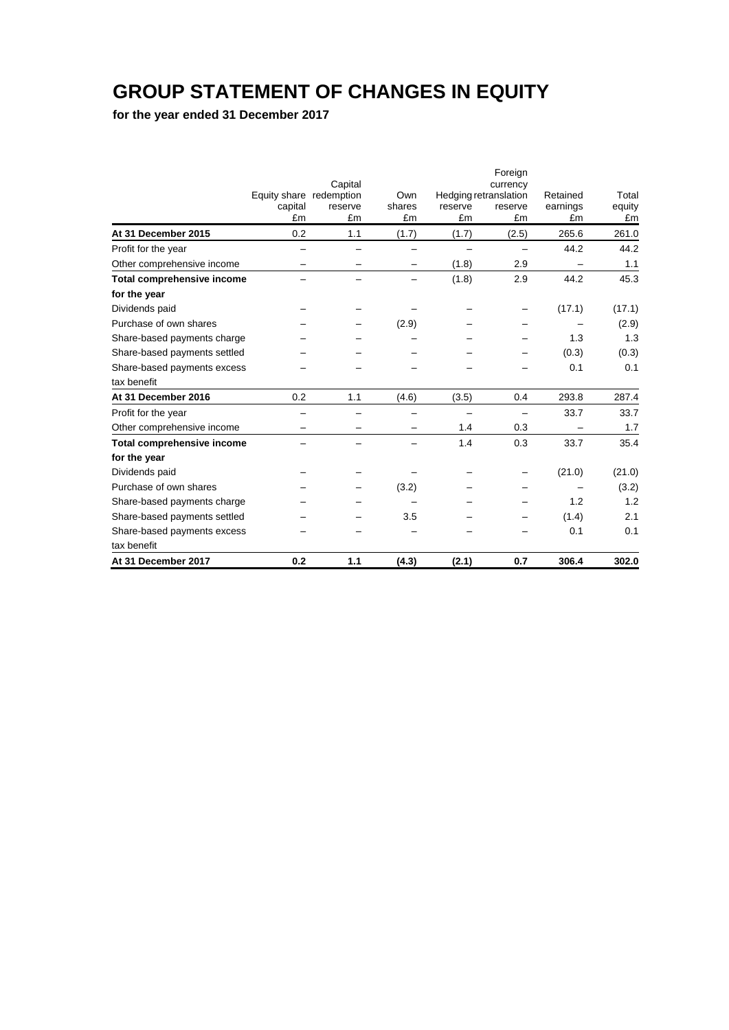## **GROUP STATEMENT OF CHANGES IN EQUITY**

**for the year ended 31 December 2017**

|                                   |                         |         |        |         | Foreign                           |          |        |
|-----------------------------------|-------------------------|---------|--------|---------|-----------------------------------|----------|--------|
|                                   | Equity share redemption | Capital | Own    |         | currency<br>Hedging retranslation | Retained | Total  |
|                                   | capital                 | reserve | shares | reserve | reserve                           | earnings | equity |
|                                   | £m                      | £m      | £m     | £m      | £m                                | £m       | £m     |
| At 31 December 2015               | 0.2                     | 1.1     | (1.7)  | (1.7)   | (2.5)                             | 265.6    | 261.0  |
| Profit for the year               |                         |         |        |         |                                   | 44.2     | 44.2   |
| Other comprehensive income        |                         |         |        | (1.8)   | 2.9                               |          | 1.1    |
| <b>Total comprehensive income</b> |                         |         |        | (1.8)   | 2.9                               | 44.2     | 45.3   |
| for the year                      |                         |         |        |         |                                   |          |        |
| Dividends paid                    |                         |         |        |         |                                   | (17.1)   | (17.1) |
| Purchase of own shares            |                         |         | (2.9)  |         |                                   |          | (2.9)  |
| Share-based payments charge       |                         |         |        |         |                                   | 1.3      | 1.3    |
| Share-based payments settled      |                         |         |        |         |                                   | (0.3)    | (0.3)  |
| Share-based payments excess       |                         |         |        |         |                                   | 0.1      | 0.1    |
| tax benefit                       |                         |         |        |         |                                   |          |        |
| At 31 December 2016               | 0.2                     | 1.1     | (4.6)  | (3.5)   | 0.4                               | 293.8    | 287.4  |
| Profit for the year               |                         |         |        |         | $\overline{\phantom{0}}$          | 33.7     | 33.7   |
| Other comprehensive income        |                         |         |        | 1.4     | 0.3                               |          | 1.7    |
| Total comprehensive income        |                         |         |        | 1.4     | 0.3                               | 33.7     | 35.4   |
| for the year                      |                         |         |        |         |                                   |          |        |
| Dividends paid                    |                         |         |        |         |                                   | (21.0)   | (21.0) |
| Purchase of own shares            |                         |         | (3.2)  |         |                                   |          | (3.2)  |
| Share-based payments charge       |                         |         |        |         |                                   | 1.2      | 1.2    |
| Share-based payments settled      |                         |         | 3.5    |         |                                   | (1.4)    | 2.1    |
| Share-based payments excess       |                         |         |        |         |                                   | 0.1      | 0.1    |
| tax benefit                       |                         |         |        |         |                                   |          |        |
| At 31 December 2017               | 0.2                     | 1.1     | (4.3)  | (2.1)   | 0.7                               | 306.4    | 302.0  |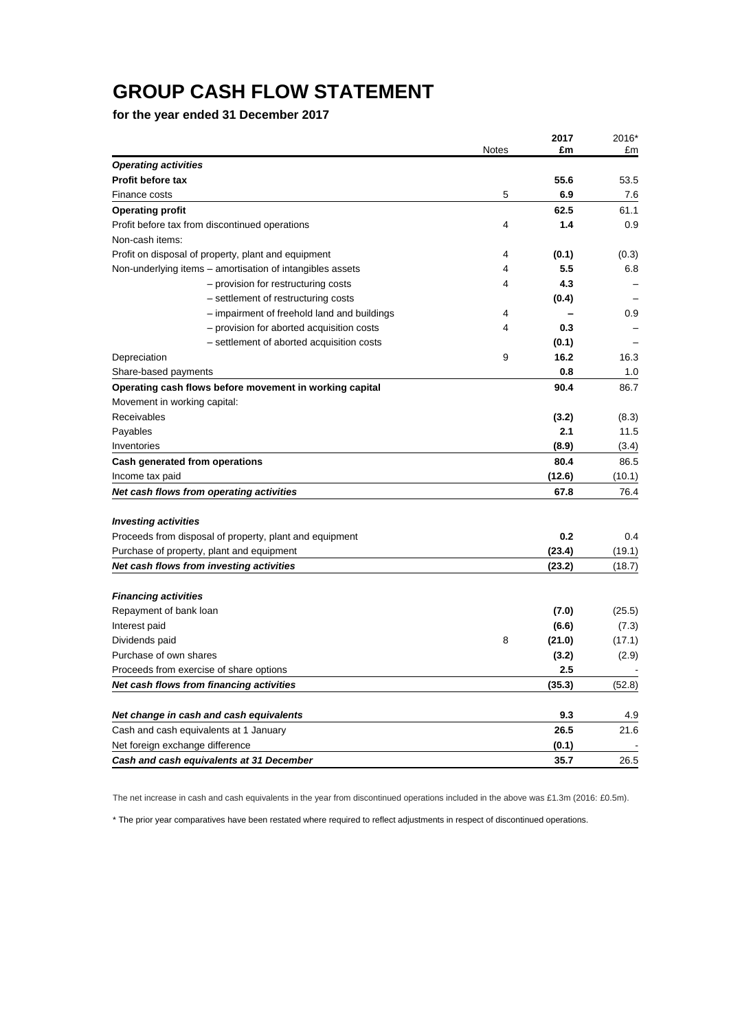## **GROUP CASH FLOW STATEMENT**

**for the year ended 31 December 2017**

|                                 |                                                           | <b>Notes</b> | 2017<br>£m | 2016*<br>£m |
|---------------------------------|-----------------------------------------------------------|--------------|------------|-------------|
| <b>Operating activities</b>     |                                                           |              |            |             |
| <b>Profit before tax</b>        |                                                           |              | 55.6       | 53.5        |
| Finance costs                   |                                                           | 5            | 6.9        | 7.6         |
| <b>Operating profit</b>         |                                                           |              | 62.5       | 61.1        |
|                                 | Profit before tax from discontinued operations            | 4            | 1.4        | 0.9         |
| Non-cash items:                 |                                                           |              |            |             |
|                                 | Profit on disposal of property, plant and equipment       | 4            | (0.1)      | (0.3)       |
|                                 | Non-underlying items - amortisation of intangibles assets | 4            | 5.5        | 6.8         |
|                                 | - provision for restructuring costs                       | 4            | 4.3        |             |
|                                 | - settlement of restructuring costs                       |              | (0.4)      |             |
|                                 | - impairment of freehold land and buildings               | 4            |            | 0.9         |
|                                 | - provision for aborted acquisition costs                 | 4            | 0.3        |             |
|                                 | - settlement of aborted acquisition costs                 |              | (0.1)      |             |
| Depreciation                    |                                                           | 9            | 16.2       | 16.3        |
| Share-based payments            |                                                           |              | 0.8        | 1.0         |
|                                 | Operating cash flows before movement in working capital   |              | 90.4       | 86.7        |
| Movement in working capital:    |                                                           |              |            |             |
| Receivables                     |                                                           |              | (3.2)      | (8.3)       |
| Payables                        |                                                           |              | 2.1        | 11.5        |
| Inventories                     |                                                           |              | (8.9)      | (3.4)       |
|                                 | Cash generated from operations                            |              | 80.4       | 86.5        |
| Income tax paid                 |                                                           |              | (12.6)     | (10.1)      |
|                                 | Net cash flows from operating activities                  |              | 67.8       | 76.4        |
| <b>Investing activities</b>     |                                                           |              |            |             |
|                                 | Proceeds from disposal of property, plant and equipment   |              | 0.2        | 0.4         |
|                                 | Purchase of property, plant and equipment                 |              | (23.4)     | (19.1)      |
|                                 | Net cash flows from investing activities                  |              | (23.2)     | (18.7)      |
|                                 |                                                           |              |            |             |
| <b>Financing activities</b>     |                                                           |              |            |             |
| Repayment of bank loan          |                                                           |              | (7.0)      | (25.5)      |
| Interest paid                   |                                                           |              | (6.6)      | (7.3)       |
| Dividends paid                  |                                                           | 8            | (21.0)     | (17.1)      |
| Purchase of own shares          |                                                           |              | (3.2)      | (2.9)       |
|                                 | Proceeds from exercise of share options                   |              | 2.5        |             |
|                                 | Net cash flows from financing activities                  |              | (35.3)     | (52.8)      |
|                                 | Net change in cash and cash equivalents                   |              | 9.3        | 4.9         |
|                                 | Cash and cash equivalents at 1 January                    |              | 26.5       | 21.6        |
| Net foreign exchange difference |                                                           |              | (0.1)      |             |
|                                 | Cash and cash equivalents at 31 December                  |              | 35.7       | 26.5        |

The net increase in cash and cash equivalents in the year from discontinued operations included in the above was £1.3m (2016: £0.5m).

\* The prior year comparatives have been restated where required to reflect adjustments in respect of discontinued operations.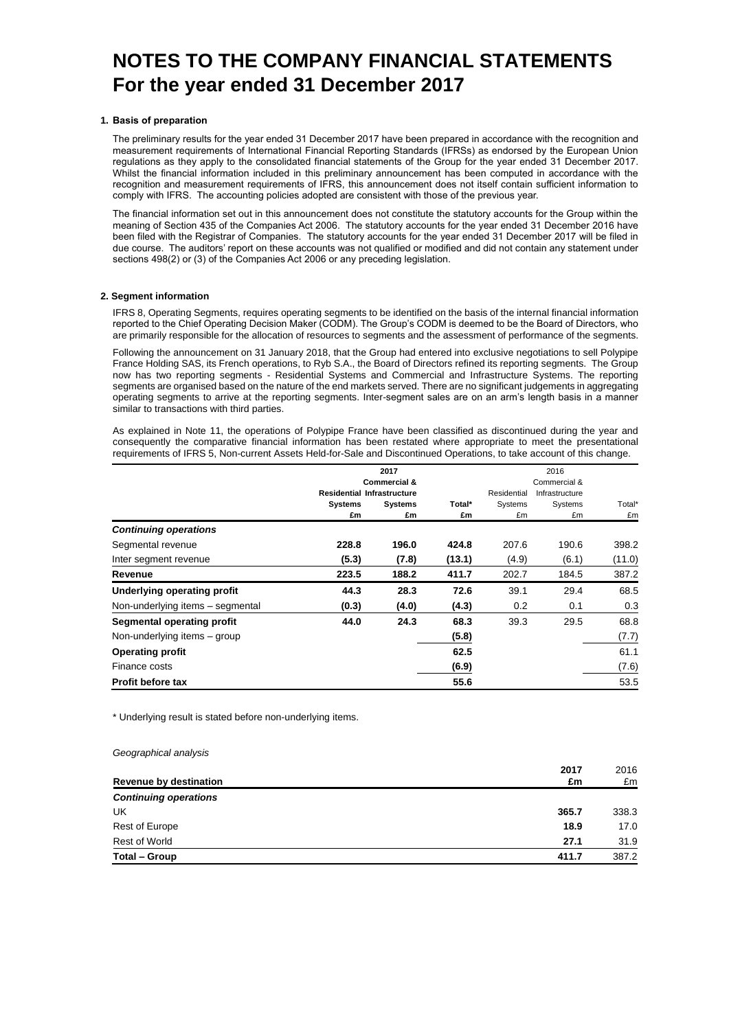#### **1. Basis of preparation**

The preliminary results for the year ended 31 December 2017 have been prepared in accordance with the recognition and measurement requirements of International Financial Reporting Standards (IFRSs) as endorsed by the European Union regulations as they apply to the consolidated financial statements of the Group for the year ended 31 December 2017. Whilst the financial information included in this preliminary announcement has been computed in accordance with the recognition and measurement requirements of IFRS, this announcement does not itself contain sufficient information to comply with IFRS. The accounting policies adopted are consistent with those of the previous year.

The financial information set out in this announcement does not constitute the statutory accounts for the Group within the meaning of Section 435 of the Companies Act 2006. The statutory accounts for the year ended 31 December 2016 have been filed with the Registrar of Companies. The statutory accounts for the year ended 31 December 2017 will be filed in due course. The auditors' report on these accounts was not qualified or modified and did not contain any statement under sections 498(2) or (3) of the Companies Act 2006 or any preceding legislation.

#### **2. Segment information**

IFRS 8, Operating Segments, requires operating segments to be identified on the basis of the internal financial information reported to the Chief Operating Decision Maker (CODM). The Group's CODM is deemed to be the Board of Directors, who are primarily responsible for the allocation of resources to segments and the assessment of performance of the segments.

Following the announcement on 31 January 2018, that the Group had entered into exclusive negotiations to sell Polypipe France Holding SAS, its French operations, to Ryb S.A., the Board of Directors refined its reporting segments. The Group now has two reporting segments - Residential Systems and Commercial and Infrastructure Systems. The reporting segments are organised based on the nature of the end markets served. There are no significant judgements in aggregating operating segments to arrive at the reporting segments. Inter-segment sales are on an arm's length basis in a manner similar to transactions with third parties.

As explained in Note 11, the operations of Polypipe France have been classified as discontinued during the year and consequently the comparative financial information has been restated where appropriate to meet the presentational requirements of IFRS 5, Non-current Assets Held-for-Sale and Discontinued Operations, to take account of this change.

|                                  | 2017                              |         |        |             | 2016           |        |
|----------------------------------|-----------------------------------|---------|--------|-------------|----------------|--------|
|                                  | <b>Commercial &amp;</b>           |         |        |             | Commercial &   |        |
|                                  | <b>Residential Infrastructure</b> |         |        | Residential | Infrastructure |        |
|                                  | <b>Systems</b>                    | Systems | Total* | Systems     | Systems        | Total* |
|                                  | £m                                | £m      | £m     | £m          | £m             | £m     |
| <b>Continuing operations</b>     |                                   |         |        |             |                |        |
| Segmental revenue                | 228.8                             | 196.0   | 424.8  | 207.6       | 190.6          | 398.2  |
| Inter segment revenue            | (5.3)                             | (7.8)   | (13.1) | (4.9)       | (6.1)          | (11.0) |
| Revenue                          | 223.5                             | 188.2   | 411.7  | 202.7       | 184.5          | 387.2  |
| Underlying operating profit      | 44.3                              | 28.3    | 72.6   | 39.1        | 29.4           | 68.5   |
| Non-underlying items - segmental | (0.3)                             | (4.0)   | (4.3)  | 0.2         | 0.1            | 0.3    |
| Segmental operating profit       | 44.0                              | 24.3    | 68.3   | 39.3        | 29.5           | 68.8   |
| Non-underlying items - group     |                                   |         | (5.8)  |             |                | (7.7)  |
| <b>Operating profit</b>          |                                   |         | 62.5   |             |                | 61.1   |
| Finance costs                    |                                   |         | (6.9)  |             |                | (7.6)  |
| <b>Profit before tax</b>         |                                   |         | 55.6   |             |                | 53.5   |

\* Underlying result is stated before non-underlying items.

#### *Geographical analysis*

| 2016                                 |
|--------------------------------------|
| £m                                   |
|                                      |
| 338.3                                |
| 18.9<br>17.0                         |
| 31.9                                 |
| 387.2                                |
| 2017<br>£m<br>365.7<br>27.1<br>411.7 |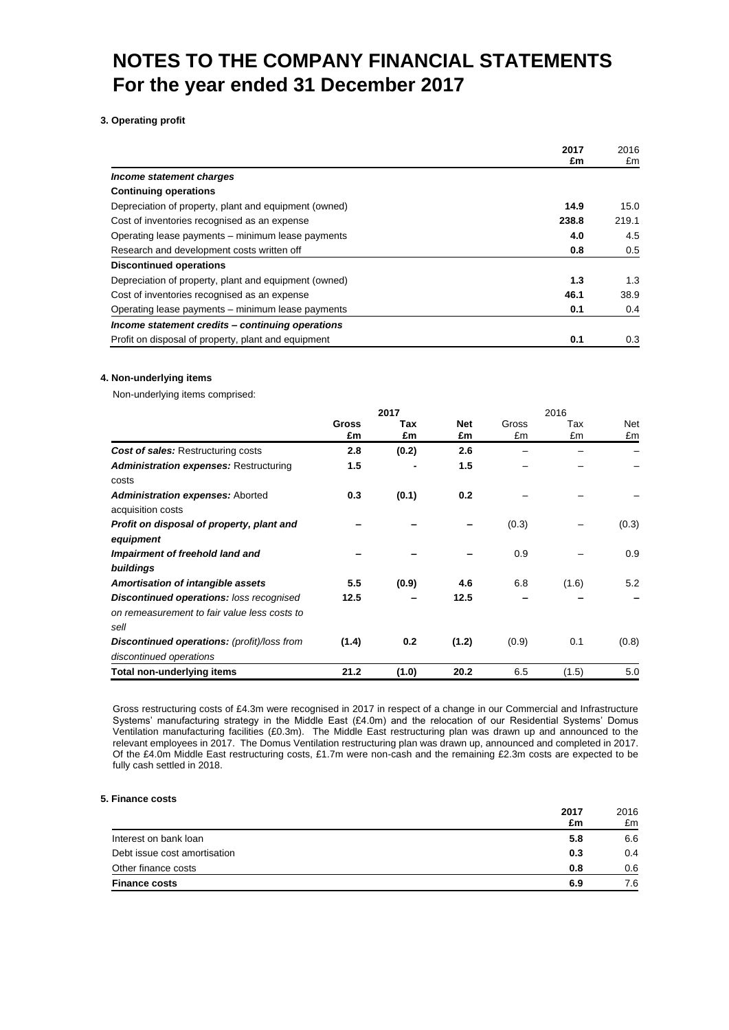#### **3. Operating profit**

|                                                       | 2017<br>£m | 2016<br>£m |
|-------------------------------------------------------|------------|------------|
| Income statement charges                              |            |            |
| <b>Continuing operations</b>                          |            |            |
| Depreciation of property, plant and equipment (owned) | 14.9       | 15.0       |
| Cost of inventories recognised as an expense          | 238.8      | 219.1      |
| Operating lease payments – minimum lease payments     | 4.0        | 4.5        |
| Research and development costs written off            | 0.8        | 0.5        |
| <b>Discontinued operations</b>                        |            |            |
| Depreciation of property, plant and equipment (owned) | 1.3        | 1.3        |
| Cost of inventories recognised as an expense          | 46.1       | 38.9       |
| Operating lease payments – minimum lease payments     | 0.1        | 0.4        |
| Income statement credits - continuing operations      |            |            |
| Profit on disposal of property, plant and equipment   | 0.1        | 0.3        |

#### **4. Non-underlying items**

Non-underlying items comprised:

|                                                                                                         | 2017               |           |                  | 2016        |           |           |
|---------------------------------------------------------------------------------------------------------|--------------------|-----------|------------------|-------------|-----------|-----------|
|                                                                                                         | <b>Gross</b><br>£m | Tax<br>£m | <b>Net</b><br>£m | Gross<br>£m | Tax<br>£m | Net<br>£m |
| <b>Cost of sales: Restructuring costs</b>                                                               | 2.8                | (0.2)     | 2.6              |             |           |           |
| <b>Administration expenses: Restructuring</b><br>costs                                                  | 1.5                |           | 1.5              |             |           |           |
| <b>Administration expenses: Aborted</b><br>acquisition costs                                            | 0.3                | (0.1)     | 0.2              |             |           |           |
| Profit on disposal of property, plant and<br>equipment                                                  |                    |           |                  | (0.3)       |           | (0.3)     |
| Impairment of freehold land and<br>buildings                                                            |                    |           |                  | 0.9         |           | 0.9       |
| Amortisation of intangible assets                                                                       | 5.5                | (0.9)     | 4.6              | 6.8         | (1.6)     | 5.2       |
| <b>Discontinued operations: loss recognised</b><br>on remeasurement to fair value less costs to<br>sell | 12.5               |           | 12.5             |             |           |           |
| <b>Discontinued operations:</b> (profit)/loss from<br>discontinued operations                           | (1.4)              | 0.2       | (1.2)            | (0.9)       | 0.1       | (0.8)     |
| Total non-underlying items                                                                              | 21.2               | (1.0)     | 20.2             | 6.5         | (1.5)     | 5.0       |

Gross restructuring costs of £4.3m were recognised in 2017 in respect of a change in our Commercial and Infrastructure Systems' manufacturing strategy in the Middle East (£4.0m) and the relocation of our Residential Systems' Domus Ventilation manufacturing facilities (£0.3m). The Middle East restructuring plan was drawn up and announced to the relevant employees in 2017. The Domus Ventilation restructuring plan was drawn up, announced and completed in 2017. Of the £4.0m Middle East restructuring costs, £1.7m were non-cash and the remaining £2.3m costs are expected to be fully cash settled in 2018.

#### **5. Finance costs**

|                              | 2017<br>£m | 2016<br>£m |
|------------------------------|------------|------------|
| Interest on bank loan        | 5.8        | 6.6        |
| Debt issue cost amortisation | 0.3        | 0.4        |
| Other finance costs          | 0.8        | 0.6        |
| <b>Finance costs</b>         | 6.9        | 7.6        |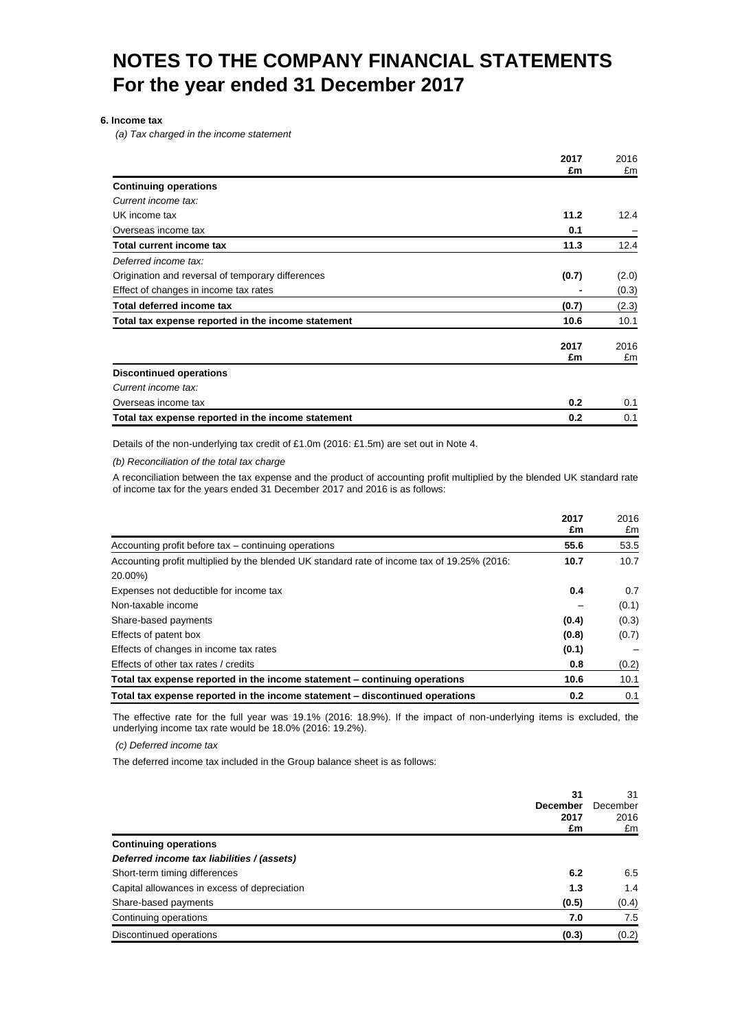#### **6. Income tax**

*(a) Tax charged in the income statement*

|                                                    | 2017<br>£m | 2016<br>£m |
|----------------------------------------------------|------------|------------|
| <b>Continuing operations</b>                       |            |            |
| Current income tax:                                |            |            |
|                                                    |            |            |
| UK income tax                                      | 11.2       | 12.4       |
| Overseas income tax                                | 0.1        |            |
| <b>Total current income tax</b>                    | 11.3       | 12.4       |
| Deferred income tax:                               |            |            |
| Origination and reversal of temporary differences  | (0.7)      | (2.0)      |
| Effect of changes in income tax rates              |            | (0.3)      |
| <b>Total deferred income tax</b>                   | (0.7)      | (2.3)      |
| Total tax expense reported in the income statement | 10.6       | 10.1       |
|                                                    | 2017<br>£m | 2016<br>£m |
| <b>Discontinued operations</b>                     |            |            |
| Current income tax:                                |            |            |
| Overseas income tax                                | 0.2        | 0.1        |
| Total tax expense reported in the income statement | 0.2        | 0.1        |

Details of the non-underlying tax credit of £1.0m (2016: £1.5m) are set out in Note 4.

*(b) Reconciliation of the total tax charge*

A reconciliation between the tax expense and the product of accounting profit multiplied by the blended UK standard rate of income tax for the years ended 31 December 2017 and 2016 is as follows:

|                                                                                             | 2017<br>£m | 2016<br>£m |
|---------------------------------------------------------------------------------------------|------------|------------|
| Accounting profit before tax – continuing operations                                        | 55.6       | 53.5       |
| Accounting profit multiplied by the blended UK standard rate of income tax of 19.25% (2016: | 10.7       | 10.7       |
| 20.00%)                                                                                     |            |            |
| Expenses not deductible for income tax                                                      | 0.4        | 0.7        |
| Non-taxable income                                                                          |            | (0.1)      |
| Share-based payments                                                                        | (0.4)      | (0.3)      |
| Effects of patent box                                                                       | (0.8)      | (0.7)      |
| Effects of changes in income tax rates                                                      | (0.1)      |            |
| Effects of other tax rates / credits                                                        | 0.8        | (0.2)      |
| Total tax expense reported in the income statement – continuing operations                  | 10.6       | 10.1       |
| Total tax expense reported in the income statement – discontinued operations                | 0.2        | 0.1        |

The effective rate for the full year was 19.1% (2016: 18.9%). If the impact of non-underlying items is excluded, the underlying income tax rate would be 18.0% (2016: 19.2%).

*(c) Deferred income tax*

The deferred income tax included in the Group balance sheet is as follows:

|                                              | 31<br><b>December</b><br>2017<br>£m | 31<br>December<br>2016<br>£m |
|----------------------------------------------|-------------------------------------|------------------------------|
| <b>Continuing operations</b>                 |                                     |                              |
| Deferred income tax liabilities / (assets)   |                                     |                              |
| Short-term timing differences                | 6.2                                 | 6.5                          |
| Capital allowances in excess of depreciation | 1.3                                 | 1.4                          |
| Share-based payments                         | (0.5)                               | (0.4)                        |
| Continuing operations                        | 7.0                                 | 7.5                          |
| Discontinued operations                      | (0.3)                               | (0.2)                        |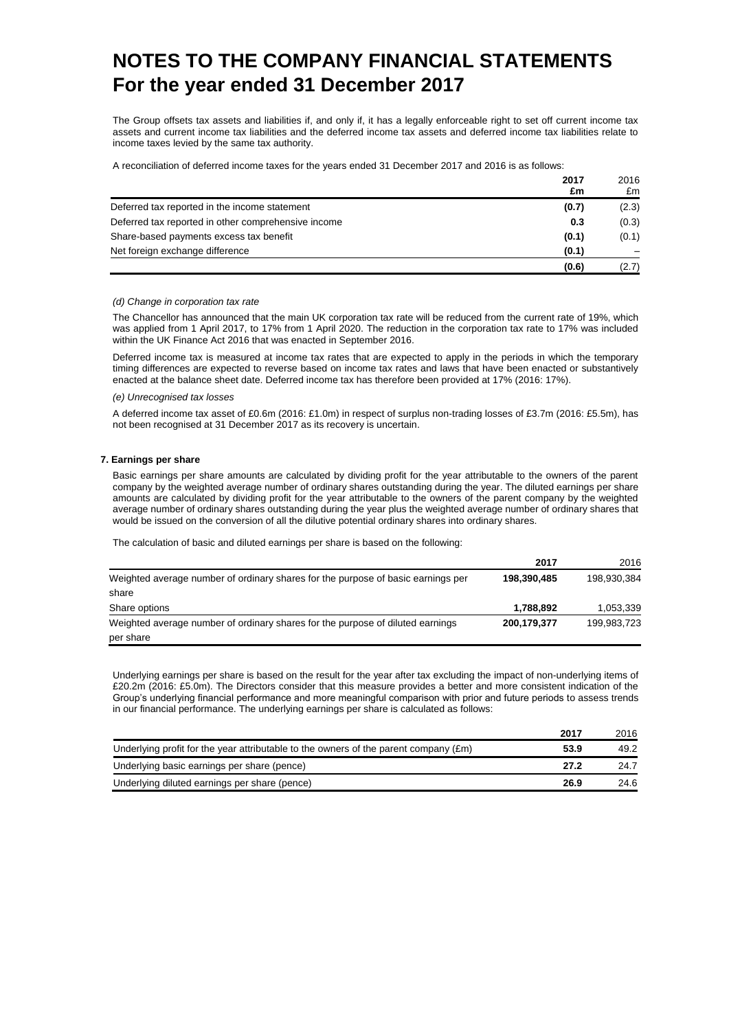The Group offsets tax assets and liabilities if, and only if, it has a legally enforceable right to set off current income tax assets and current income tax liabilities and the deferred income tax assets and deferred income tax liabilities relate to income taxes levied by the same tax authority.

A reconciliation of deferred income taxes for the years ended 31 December 2017 and 2016 is as follows:

|                                                     | 2017  | 2016  |
|-----------------------------------------------------|-------|-------|
|                                                     | £m    | £m    |
| Deferred tax reported in the income statement       | (0.7) | (2.3) |
| Deferred tax reported in other comprehensive income | 0.3   | (0.3) |
| Share-based payments excess tax benefit             | (0.1) | (0.1) |
| Net foreign exchange difference                     | (0.1) |       |
|                                                     | (0.6) | (2.7) |

#### *(d) Change in corporation tax rate*

The Chancellor has announced that the main UK corporation tax rate will be reduced from the current rate of 19%, which was applied from 1 April 2017, to 17% from 1 April 2020. The reduction in the corporation tax rate to 17% was included within the UK Finance Act 2016 that was enacted in September 2016.

Deferred income tax is measured at income tax rates that are expected to apply in the periods in which the temporary timing differences are expected to reverse based on income tax rates and laws that have been enacted or substantively enacted at the balance sheet date. Deferred income tax has therefore been provided at 17% (2016: 17%).

#### *(e) Unrecognised tax losses*

A deferred income tax asset of £0.6m (2016: £1.0m) in respect of surplus non-trading losses of £3.7m (2016: £5.5m), has not been recognised at 31 December 2017 as its recovery is uncertain.

#### **7. Earnings per share**

Basic earnings per share amounts are calculated by dividing profit for the year attributable to the owners of the parent company by the weighted average number of ordinary shares outstanding during the year. The diluted earnings per share amounts are calculated by dividing profit for the year attributable to the owners of the parent company by the weighted average number of ordinary shares outstanding during the year plus the weighted average number of ordinary shares that would be issued on the conversion of all the dilutive potential ordinary shares into ordinary shares.

The calculation of basic and diluted earnings per share is based on the following:

|                                                                                  | 2017        | 2016        |
|----------------------------------------------------------------------------------|-------------|-------------|
| Weighted average number of ordinary shares for the purpose of basic earnings per | 198,390,485 | 198,930,384 |
| share                                                                            |             |             |
| Share options                                                                    | 1,788,892   | 1,053,339   |
| Weighted average number of ordinary shares for the purpose of diluted earnings   | 200,179,377 | 199,983,723 |
| per share                                                                        |             |             |

Underlying earnings per share is based on the result for the year after tax excluding the impact of non-underlying items of £20.2m (2016: £5.0m). The Directors consider that this measure provides a better and more consistent indication of the Group's underlying financial performance and more meaningful comparison with prior and future periods to assess trends in our financial performance. The underlying earnings per share is calculated as follows:

|                                                                                               | 2017 | 2016 |
|-----------------------------------------------------------------------------------------------|------|------|
| Underlying profit for the year attributable to the owners of the parent company $(\text{Em})$ | 53.9 | 49.2 |
| Underlying basic earnings per share (pence)                                                   | 27.2 | 24.7 |
| Underlying diluted earnings per share (pence)                                                 | 26.9 | 24.6 |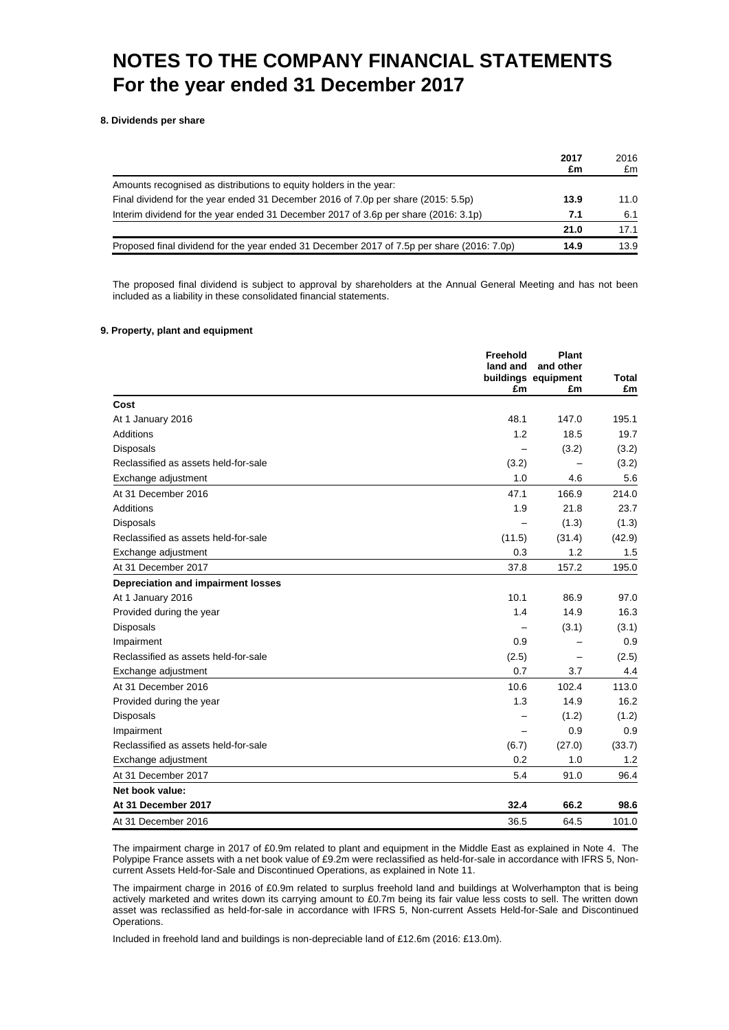**8. Dividends per share**

|                                                                                            | 2017<br>£m | 2016<br>£m |
|--------------------------------------------------------------------------------------------|------------|------------|
| Amounts recognised as distributions to equity holders in the year:                         |            |            |
| Final dividend for the year ended 31 December 2016 of 7.0p per share (2015: 5.5p)          | 13.9       | 11.0       |
| Interim dividend for the year ended 31 December 2017 of 3.6p per share (2016: 3.1p)        | 7.1        | 6.1        |
|                                                                                            | 21.0       | 17.1       |
| Proposed final dividend for the year ended 31 December 2017 of 7.5p per share (2016: 7.0p) | 14.9       | 13.9       |

The proposed final dividend is subject to approval by shareholders at the Annual General Meeting and has not been included as a liability in these consolidated financial statements.

#### **9. Property, plant and equipment**

|                                      | Freehold<br>land and<br>£m | <b>Plant</b><br>and other<br>buildings equipment<br>£m | Total<br>£m |
|--------------------------------------|----------------------------|--------------------------------------------------------|-------------|
| Cost                                 |                            |                                                        |             |
| At 1 January 2016                    | 48.1                       | 147.0                                                  | 195.1       |
| <b>Additions</b>                     | 1.2                        | 18.5                                                   | 19.7        |
| <b>Disposals</b>                     |                            | (3.2)                                                  | (3.2)       |
| Reclassified as assets held-for-sale | (3.2)                      |                                                        | (3.2)       |
| Exchange adjustment                  | 1.0                        | 4.6                                                    | 5.6         |
| At 31 December 2016                  | 47.1                       | 166.9                                                  | 214.0       |
| Additions                            | 1.9                        | 21.8                                                   | 23.7        |
| <b>Disposals</b>                     |                            | (1.3)                                                  | (1.3)       |
| Reclassified as assets held-for-sale | (11.5)                     | (31.4)                                                 | (42.9)      |
| Exchange adjustment                  | 0.3                        | 1.2                                                    | 1.5         |
| At 31 December 2017                  | 37.8                       | 157.2                                                  | 195.0       |
| Depreciation and impairment losses   |                            |                                                        |             |
| At 1 January 2016                    | 10.1                       | 86.9                                                   | 97.0        |
| Provided during the year             | 1.4                        | 14.9                                                   | 16.3        |
| <b>Disposals</b>                     |                            | (3.1)                                                  | (3.1)       |
| Impairment                           | 0.9                        | $\overline{\phantom{0}}$                               | 0.9         |
| Reclassified as assets held-for-sale | (2.5)                      |                                                        | (2.5)       |
| Exchange adjustment                  | 0.7                        | 3.7                                                    | 4.4         |
| At 31 December 2016                  | 10.6                       | 102.4                                                  | 113.0       |
| Provided during the year             | 1.3                        | 14.9                                                   | 16.2        |
| <b>Disposals</b>                     |                            | (1.2)                                                  | (1.2)       |
| Impairment                           |                            | 0.9                                                    | 0.9         |
| Reclassified as assets held-for-sale | (6.7)                      | (27.0)                                                 | (33.7)      |
| Exchange adjustment                  | 0.2                        | 1.0                                                    | 1.2         |
| At 31 December 2017                  | 5.4                        | 91.0                                                   | 96.4        |
| Net book value:                      |                            |                                                        |             |
| At 31 December 2017                  | 32.4                       | 66.2                                                   | 98.6        |
| At 31 December 2016                  | 36.5                       | 64.5                                                   | 101.0       |

The impairment charge in 2017 of £0.9m related to plant and equipment in the Middle East as explained in Note 4. The Polypipe France assets with a net book value of £9.2m were reclassified as held-for-sale in accordance with IFRS 5, Noncurrent Assets Held-for-Sale and Discontinued Operations, as explained in Note 11.

The impairment charge in 2016 of £0.9m related to surplus freehold land and buildings at Wolverhampton that is being actively marketed and writes down its carrying amount to £0.7m being its fair value less costs to sell. The written down asset was reclassified as held-for-sale in accordance with IFRS 5, Non-current Assets Held-for-Sale and Discontinued Operations.

Included in freehold land and buildings is non-depreciable land of £12.6m (2016: £13.0m).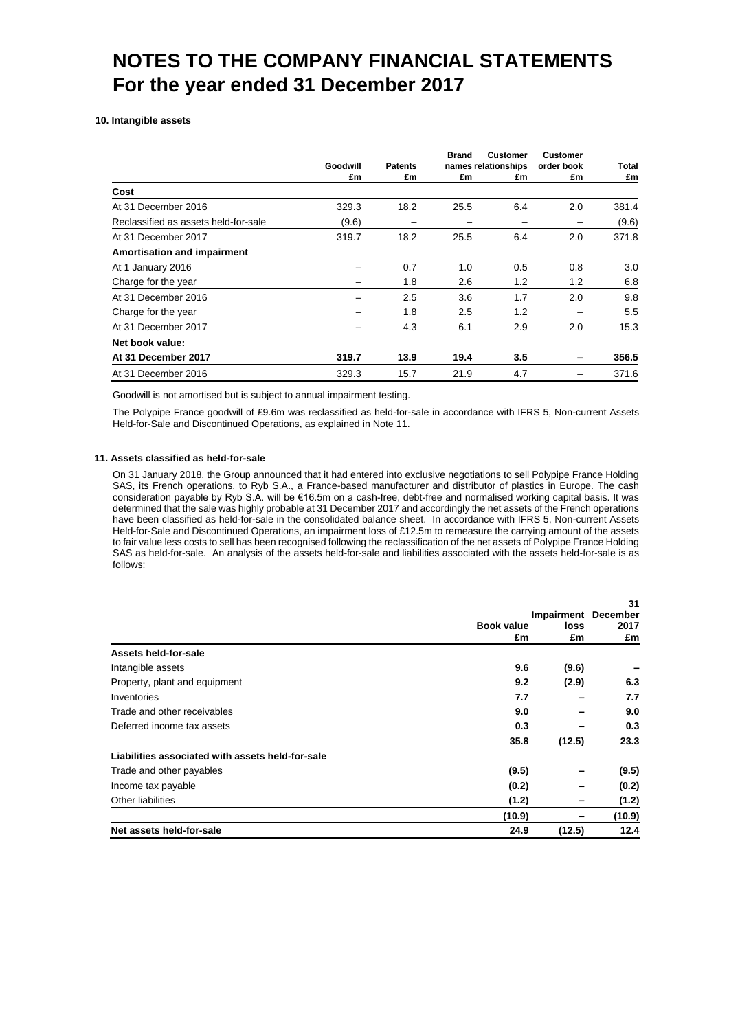**10. Intangible assets**

|                                      |                |                      | <b>Brand</b> | <b>Customer</b>           | <b>Customer</b>  |             |
|--------------------------------------|----------------|----------------------|--------------|---------------------------|------------------|-------------|
|                                      | Goodwill<br>£m | <b>Patents</b><br>£m | £m           | names relationships<br>£m | order book<br>£m | Total<br>£m |
| Cost                                 |                |                      |              |                           |                  |             |
| At 31 December 2016                  | 329.3          | 18.2                 | 25.5         | 6.4                       | 2.0              | 381.4       |
| Reclassified as assets held-for-sale | (9.6)          |                      |              |                           |                  | (9.6)       |
| At 31 December 2017                  | 319.7          | 18.2                 | 25.5         | 6.4                       | 2.0              | 371.8       |
| <b>Amortisation and impairment</b>   |                |                      |              |                           |                  |             |
| At 1 January 2016                    |                | 0.7                  | 1.0          | 0.5                       | 0.8              | 3.0         |
| Charge for the year                  |                | 1.8                  | 2.6          | 1.2                       | 1.2              | 6.8         |
| At 31 December 2016                  |                | 2.5                  | 3.6          | 1.7                       | 2.0              | 9.8         |
| Charge for the year                  |                | 1.8                  | 2.5          | 1.2                       | -                | 5.5         |
| At 31 December 2017                  |                | 4.3                  | 6.1          | 2.9                       | 2.0              | 15.3        |
| Net book value:                      |                |                      |              |                           |                  |             |
| At 31 December 2017                  | 319.7          | 13.9                 | 19.4         | 3.5                       |                  | 356.5       |
| At 31 December 2016                  | 329.3          | 15.7                 | 21.9         | 4.7                       |                  | 371.6       |

Goodwill is not amortised but is subject to annual impairment testing.

The Polypipe France goodwill of £9.6m was reclassified as held-for-sale in accordance with IFRS 5, Non-current Assets Held-for-Sale and Discontinued Operations, as explained in Note 11.

#### **11. Assets classified as held-for-sale**

On 31 January 2018, the Group announced that it had entered into exclusive negotiations to sell Polypipe France Holding SAS, its French operations, to Ryb S.A., a France-based manufacturer and distributor of plastics in Europe. The cash consideration payable by Ryb S.A. will be €16.5m on a cash-free, debt-free and normalised working capital basis. It was determined that the sale was highly probable at 31 December 2017 and accordingly the net assets of the French operations have been classified as held-for-sale in the consolidated balance sheet. In accordance with IFRS 5, Non-current Assets Held-for-Sale and Discontinued Operations, an impairment loss of £12.5m to remeasure the carrying amount of the assets to fair value less costs to sell has been recognised following the reclassification of the net assets of Polypipe France Holding SAS as held-for-sale. An analysis of the assets held-for-sale and liabilities associated with the assets held-for-sale is as follows:

|                                                  |                  |                                          | 31         |
|--------------------------------------------------|------------------|------------------------------------------|------------|
|                                                  | Book value<br>£m | <b>Impairment December</b><br>loss<br>£m | 2017<br>£m |
| Assets held-for-sale                             |                  |                                          |            |
| Intangible assets                                | 9.6              | (9.6)                                    |            |
| Property, plant and equipment                    | 9.2              | (2.9)                                    | 6.3        |
| Inventories                                      | 7.7              |                                          | 7.7        |
| Trade and other receivables                      | 9.0              |                                          | 9.0        |
| Deferred income tax assets                       | 0.3              |                                          | 0.3        |
|                                                  | 35.8             | (12.5)                                   | 23.3       |
| Liabilities associated with assets held-for-sale |                  |                                          |            |
| Trade and other payables                         | (9.5)            |                                          | (9.5)      |
| Income tax payable                               | (0.2)            |                                          | (0.2)      |
| Other liabilities                                | (1.2)            |                                          | (1.2)      |
|                                                  | (10.9)           |                                          | (10.9)     |
| Net assets held-for-sale                         | 24.9             | (12.5)                                   | 12.4       |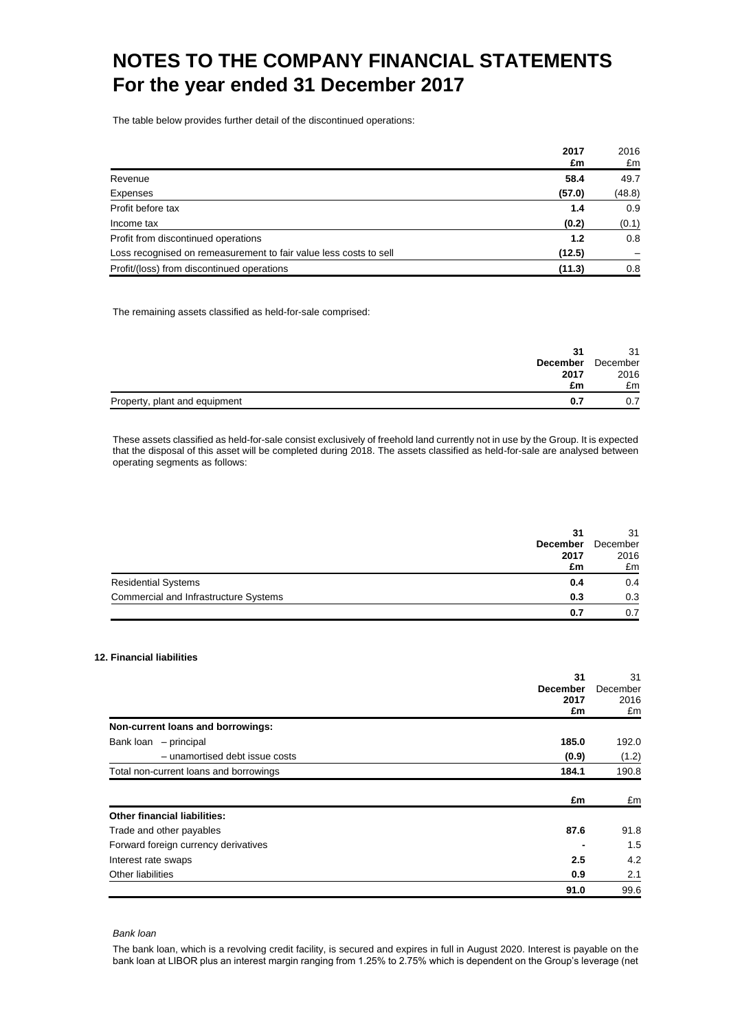The table below provides further detail of the discontinued operations:

|                                                                   | 2017   | 2016   |
|-------------------------------------------------------------------|--------|--------|
|                                                                   | £m     | £m     |
| Revenue                                                           | 58.4   | 49.7   |
| Expenses                                                          | (57.0) | (48.8) |
| Profit before tax                                                 | 1.4    | 0.9    |
| Income tax                                                        | (0.2)  | (0.1)  |
| Profit from discontinued operations                               | 1.2    | 0.8    |
| Loss recognised on remeasurement to fair value less costs to sell | (12.5) |        |
| Profit/(loss) from discontinued operations                        | (11.3) | 0.8    |

The remaining assets classified as held-for-sale comprised:

| 31                                   | 31       |
|--------------------------------------|----------|
| <b>December</b>                      | December |
| 2017                                 | 2016     |
| £m                                   | £m       |
| Property, plant and equipment<br>0.7 |          |

These assets classified as held-for-sale consist exclusively of freehold land currently not in use by the Group. It is expected that the disposal of this asset will be completed during 2018. The assets classified as held-for-sale are analysed between operating segments as follows:

|                                       | 31              | 31       |
|---------------------------------------|-----------------|----------|
|                                       | <b>December</b> | December |
|                                       | 2017            | 2016     |
|                                       | £m              | £m       |
| <b>Residential Systems</b>            | 0.4             | 0.4      |
| Commercial and Infrastructure Systems | 0.3             | 0.3      |
|                                       | 0.7             | 0.7      |

### **12. Financial liabilities**

|                                        | 31              | 31       |
|----------------------------------------|-----------------|----------|
|                                        | <b>December</b> | December |
|                                        | 2017            | 2016     |
|                                        | £m              | £m       |
| Non-current loans and borrowings:      |                 |          |
| Bank loan - principal                  | 185.0           | 192.0    |
| - unamortised debt issue costs         | (0.9)           | (1.2)    |
| Total non-current loans and borrowings | 184.1           | 190.8    |
|                                        | £m              | £m       |
| <b>Other financial liabilities:</b>    |                 |          |
| Trade and other payables               | 87.6            | 91.8     |
| Forward foreign currency derivatives   |                 | 1.5      |
| Interest rate swaps                    | 2.5             | 4.2      |
| Other liabilities                      | 0.9             | 2.1      |
|                                        | 91.0            | 99.6     |

#### *Bank loan*

The bank loan, which is a revolving credit facility, is secured and expires in full in August 2020. Interest is payable on the bank loan at LIBOR plus an interest margin ranging from 1.25% to 2.75% which is dependent on the Group's leverage (net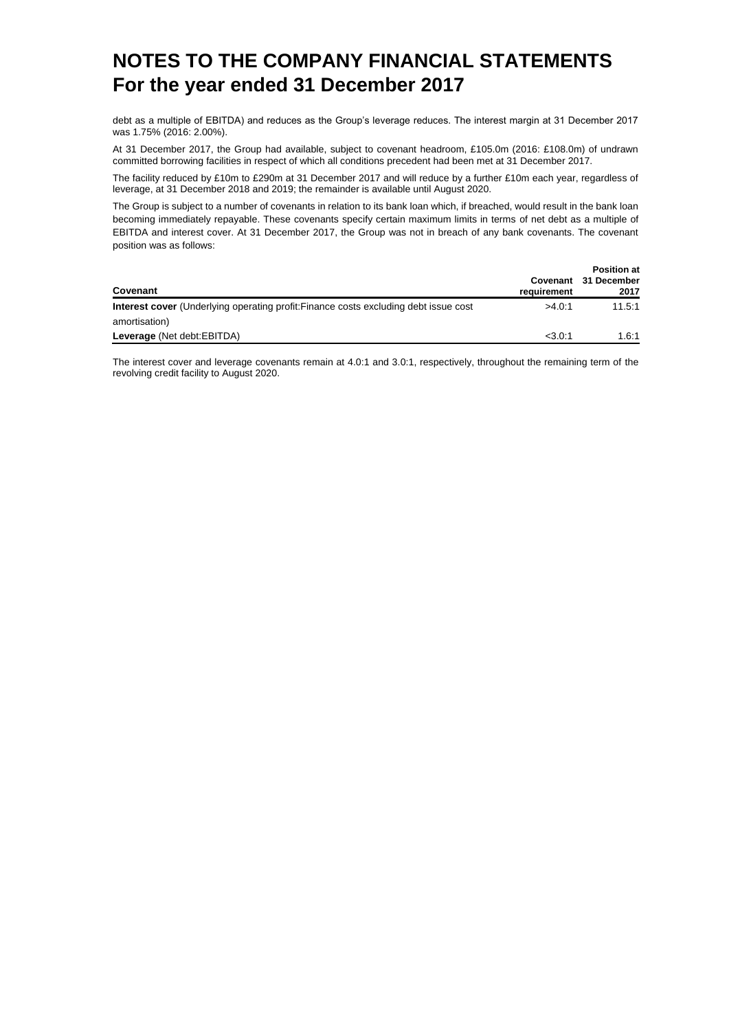debt as a multiple of EBITDA) and reduces as the Group's leverage reduces. The interest margin at 31 December 2017 was 1.75% (2016: 2.00%).

At 31 December 2017, the Group had available, subject to covenant headroom, £105.0m (2016: £108.0m) of undrawn committed borrowing facilities in respect of which all conditions precedent had been met at 31 December 2017.

The facility reduced by £10m to £290m at 31 December 2017 and will reduce by a further £10m each year, regardless of leverage, at 31 December 2018 and 2019; the remainder is available until August 2020.

The Group is subject to a number of covenants in relation to its bank loan which, if breached, would result in the bank loan becoming immediately repayable. These covenants specify certain maximum limits in terms of net debt as a multiple of EBITDA and interest cover. At 31 December 2017, the Group was not in breach of any bank covenants. The covenant position was as follows:

| Covenant                                                                                    | requirement | <b>Position at</b><br>Covenant 31 December<br>2017 |
|---------------------------------------------------------------------------------------------|-------------|----------------------------------------------------|
| <b>Interest cover</b> (Underlying operating profit: Finance costs excluding debt issue cost | >4.0:1      | 11.5:1                                             |
| amortisation)                                                                               |             |                                                    |
| Leverage (Net debt:EBITDA)                                                                  | $<$ 3.0:1   | 1.6:1                                              |

The interest cover and leverage covenants remain at 4.0:1 and 3.0:1, respectively, throughout the remaining term of the revolving credit facility to August 2020.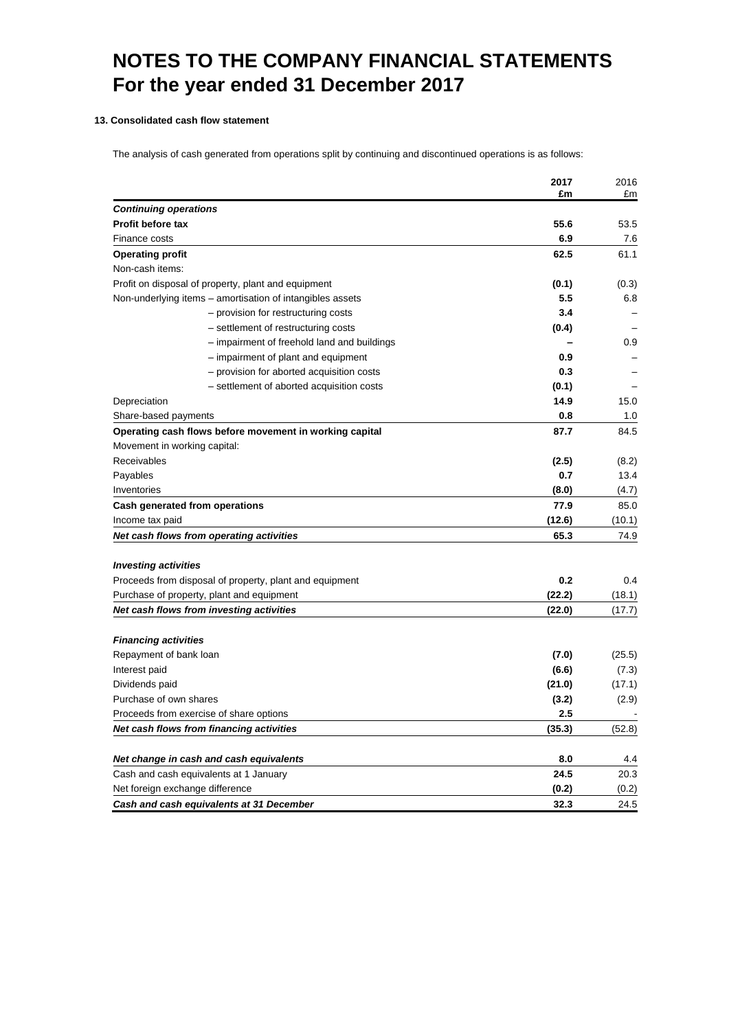### **13. Consolidated cash flow statement**

The analysis of cash generated from operations split by continuing and discontinued operations is as follows:

|                                                                            | 2017         | 2016         |
|----------------------------------------------------------------------------|--------------|--------------|
|                                                                            | £m           | £m           |
| <b>Continuing operations</b>                                               |              |              |
| <b>Profit before tax</b><br>Finance costs                                  | 55.6<br>6.9  | 53.5         |
|                                                                            | 62.5         | 7.6<br>61.1  |
| <b>Operating profit</b>                                                    |              |              |
| Non-cash items:                                                            |              |              |
| Profit on disposal of property, plant and equipment                        | (0.1)<br>5.5 | (0.3)<br>6.8 |
| Non-underlying items - amortisation of intangibles assets                  | 3.4          |              |
| - provision for restructuring costs<br>- settlement of restructuring costs | (0.4)        |              |
| - impairment of freehold land and buildings                                |              | 0.9          |
| - impairment of plant and equipment                                        | 0.9          |              |
| - provision for aborted acquisition costs                                  | 0.3          |              |
| - settlement of aborted acquisition costs                                  | (0.1)        |              |
| Depreciation                                                               | 14.9         | 15.0         |
| Share-based payments                                                       | 0.8          | 1.0          |
| Operating cash flows before movement in working capital                    | 87.7         | 84.5         |
| Movement in working capital:                                               |              |              |
| <b>Receivables</b>                                                         | (2.5)        | (8.2)        |
| Payables                                                                   | 0.7          | 13.4         |
| Inventories                                                                | (8.0)        | (4.7)        |
| Cash generated from operations                                             | 77.9         | 85.0         |
| Income tax paid                                                            | (12.6)       | (10.1)       |
| Net cash flows from operating activities                                   | 65.3         | 74.9         |
|                                                                            |              |              |
| <b>Investing activities</b>                                                |              |              |
| Proceeds from disposal of property, plant and equipment                    | 0.2          | 0.4          |
| Purchase of property, plant and equipment                                  | (22.2)       | (18.1)       |
| Net cash flows from investing activities                                   | (22.0)       | (17.7)       |
|                                                                            |              |              |
| <b>Financing activities</b>                                                |              |              |
| Repayment of bank loan                                                     | (7.0)        | (25.5)       |
| Interest paid                                                              | (6.6)        | (7.3)        |
| Dividends paid                                                             | (21.0)       | (17.1)       |
| Purchase of own shares                                                     | (3.2)        | (2.9)        |
| Proceeds from exercise of share options                                    | 2.5          |              |
| Net cash flows from financing activities                                   | (35.3)       | (52.8)       |
|                                                                            |              |              |
| Net change in cash and cash equivalents                                    | 8.0          | 4.4          |
| Cash and cash equivalents at 1 January                                     | 24.5         | 20.3         |
| Net foreign exchange difference                                            | (0.2)        | (0.2)        |
| Cash and cash equivalents at 31 December                                   | 32.3         | 24.5         |